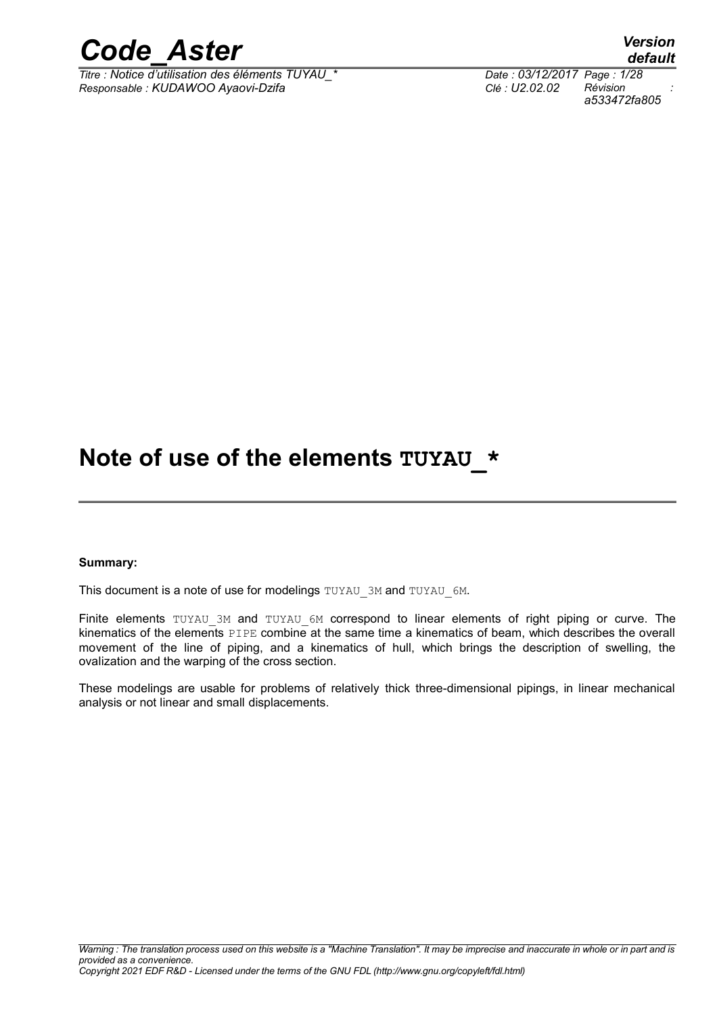

*Titre : Notice d'utilisation des éléments TUYAU\_\* Date : 03/12/2017 Page : 1/28 Responsable : KUDAWOO Ayaovi-Dzifa Clé : U2.02.02 Révision :*

*default a533472fa805*

### Note of use of the elements TUYAU \*

#### **Summary:**

This document is a note of use for modelings TUYAU\_3M and TUYAU\_6M.

Finite elements TUYAU 3M and TUYAU 6M correspond to linear elements of right piping or curve. The kinematics of the elements PIPE combine at the same time a kinematics of beam, which describes the overall movement of the line of piping, and a kinematics of hull, which brings the description of swelling, the ovalization and the warping of the cross section.

These modelings are usable for problems of relatively thick three-dimensional pipings, in linear mechanical analysis or not linear and small displacements.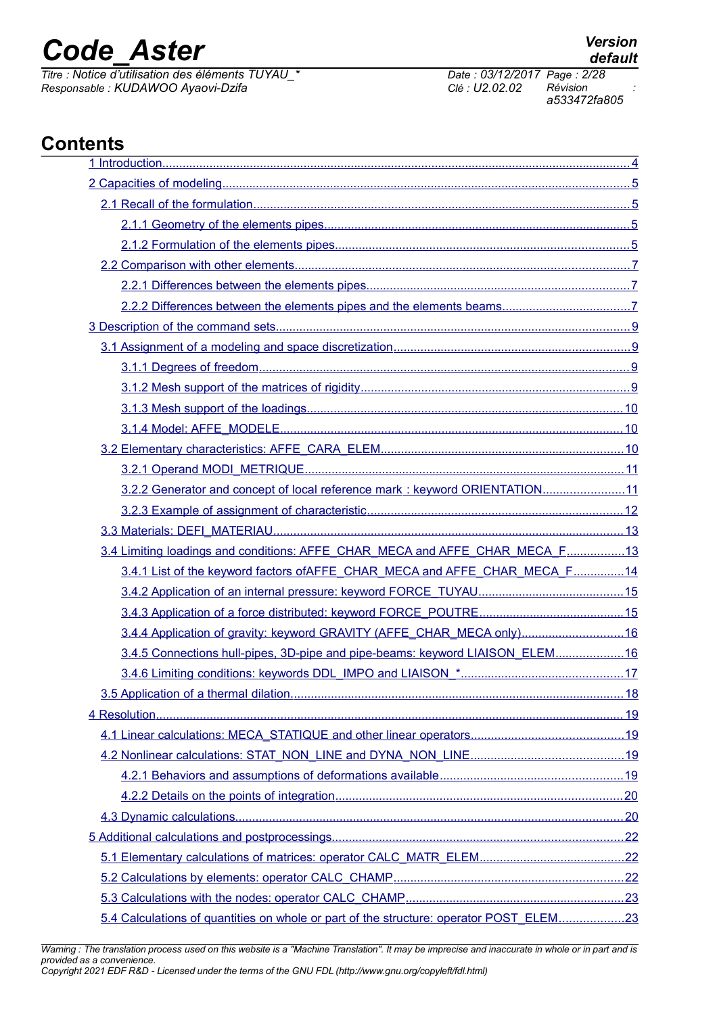*Titre : Notice d'utilisation des éléments TUYAU\_\* Date : 03/12/2017 Page : 2/28 Responsable : KUDAWOO Ayaovi-Dzifa Clé : U2.02.02 Révision :*

*a533472fa805*

### **Contents**

| 3.2.2 Generator and concept of local reference mark: keyword ORIENTATION11             |  |
|----------------------------------------------------------------------------------------|--|
|                                                                                        |  |
|                                                                                        |  |
| 3.4 Limiting loadings and conditions: AFFE_CHAR_MECA and AFFE_CHAR_MECA_F13            |  |
| 3.4.1 List of the keyword factors of AFFE CHAR MECA and AFFE CHAR MECA F14             |  |
|                                                                                        |  |
|                                                                                        |  |
| 3.4.4 Application of gravity: keyword GRAVITY (AFFE_CHAR_MECA only)16                  |  |
| 3.4.5 Connections hull-pipes, 3D-pipe and pipe-beams: keyword LIAISON_ELEM16           |  |
|                                                                                        |  |
|                                                                                        |  |
|                                                                                        |  |
|                                                                                        |  |
|                                                                                        |  |
|                                                                                        |  |
|                                                                                        |  |
|                                                                                        |  |
|                                                                                        |  |
|                                                                                        |  |
|                                                                                        |  |
|                                                                                        |  |
| 5.4 Calculations of quantities on whole or part of the structure: operator POST_ELEM23 |  |

*Warning : The translation process used on this website is a "Machine Translation". It may be imprecise and inaccurate in whole or in part and is provided as a convenience. Copyright 2021 EDF R&D - Licensed under the terms of the GNU FDL (http://www.gnu.org/copyleft/fdl.html)*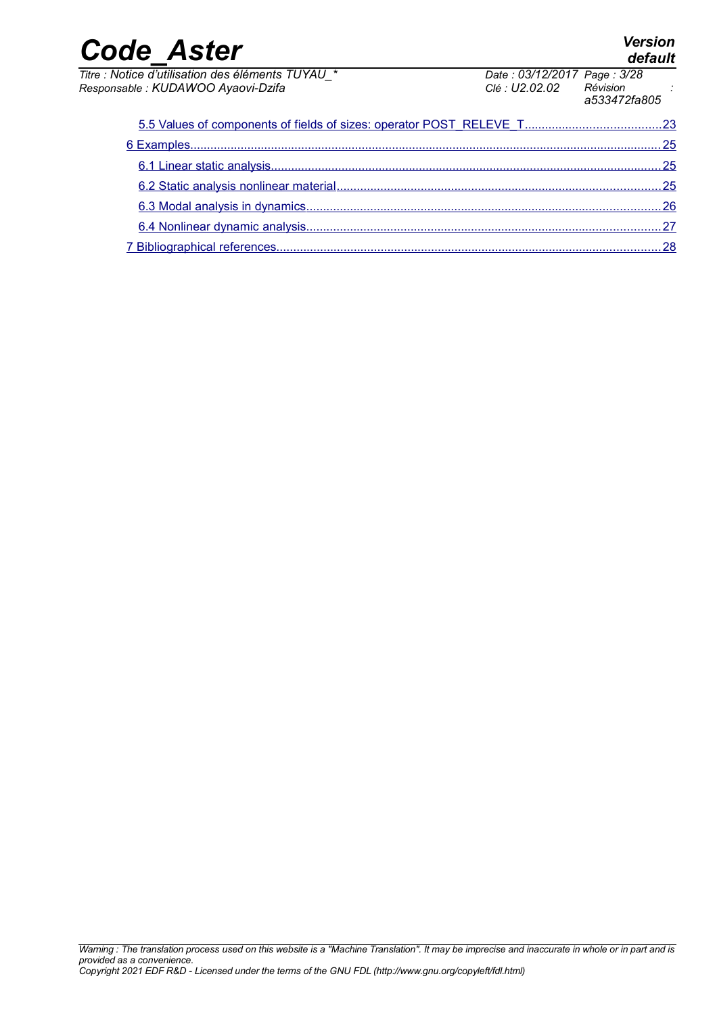| <b>Code Aster</b>                                                                       |                                                        | Version<br>default |
|-----------------------------------------------------------------------------------------|--------------------------------------------------------|--------------------|
| Titre : Notice d'utilisation des éléments TUYAU *<br>Responsable : KUDAWOO Ayaovi-Dzifa | Date: 03/12/2017 Page: 3/28<br>Clé : U2.02.02 Révision | a533472fa805       |
|                                                                                         |                                                        |                    |
| 6 Examples                                                                              |                                                        | 25                 |
|                                                                                         |                                                        | 25                 |
|                                                                                         |                                                        |                    |
|                                                                                         |                                                        | 26                 |
|                                                                                         |                                                        |                    |

 [7 Bibliographical references ..................................................................................................................28](#page-27-0)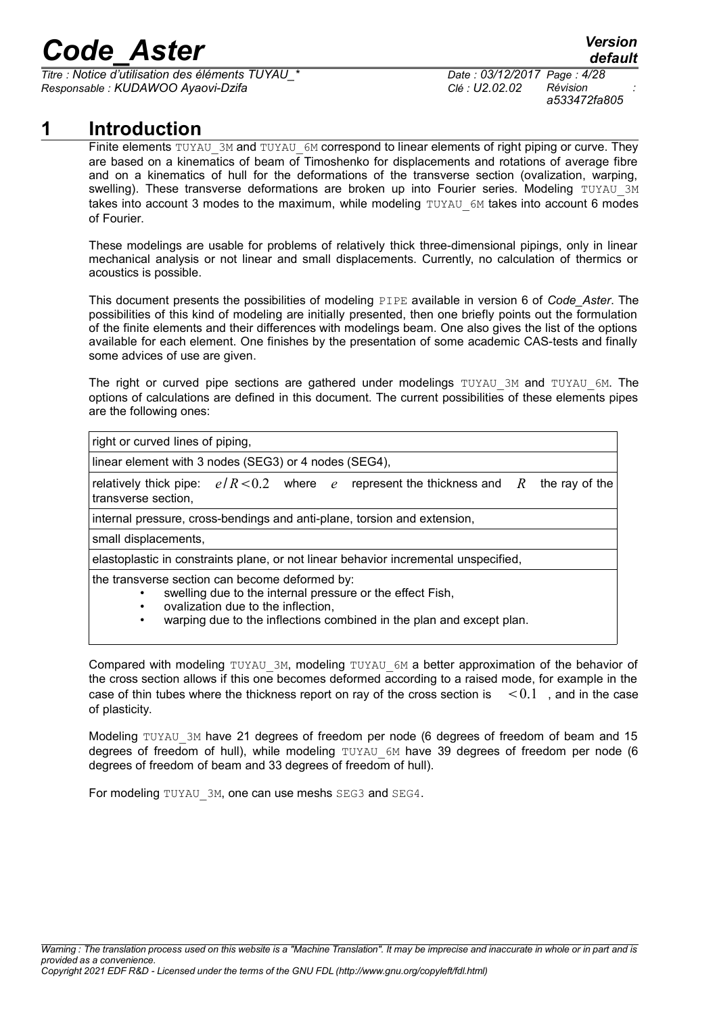$\overline{T}$ *Titre : Notice d'utilisation des éléments TUYAU Responsable : KUDAWOO Ayaovi-Dzifa Clé : U2.02.02 Révision :*

*a533472fa805*

### **1 Introduction**

<span id="page-3-0"></span>Finite elements TUYAU 3M and TUYAU 6M correspond to linear elements of right piping or curve. They are based on a kinematics of beam of Timoshenko for displacements and rotations of average fibre and on a kinematics of hull for the deformations of the transverse section (ovalization, warping, swelling). These transverse deformations are broken up into Fourier series. Modeling TUYAU 3M takes into account 3 modes to the maximum, while modeling TUYAU 6M takes into account 6 modes of Fourier.

These modelings are usable for problems of relatively thick three-dimensional pipings, only in linear mechanical analysis or not linear and small displacements. Currently, no calculation of thermics or acoustics is possible.

This document presents the possibilities of modeling PIPE available in version 6 of *Code\_Aster*. The possibilities of this kind of modeling are initially presented, then one briefly points out the formulation of the finite elements and their differences with modelings beam. One also gives the list of the options available for each element. One finishes by the presentation of some academic CAS-tests and finally some advices of use are given.

The right or curved pipe sections are gathered under modelings TUYAU 3M and TUYAU 6M. The options of calculations are defined in this document. The current possibilities of these elements pipes are the following ones:

right or curved lines of piping,

linear element with 3 nodes (SEG3) or 4 nodes (SEG4),

relatively thick pipe:  $e/R < 0.2$  where  $e$  represent the thickness and R the ray of the transverse section,

internal pressure, cross-bendings and anti-plane, torsion and extension,

small displacements,

elastoplastic in constraints plane, or not linear behavior incremental unspecified,

the transverse section can become deformed by:

- swelling due to the internal pressure or the effect Fish,
- ovalization due to the inflection,
- warping due to the inflections combined in the plan and except plan.

Compared with modeling TUYAU 3M, modeling TUYAU 6M a better approximation of the behavior of the cross section allows if this one becomes deformed according to a raised mode, for example in the case of thin tubes where the thickness report on ray of the cross section is  $\leq 0.1$  , and in the case of plasticity.

Modeling TUYAU 3M have 21 degrees of freedom per node (6 degrees of freedom of beam and 15 degrees of freedom of hull), while modeling TUYAU 6M have 39 degrees of freedom per node (6 degrees of freedom of beam and 33 degrees of freedom of hull).

For modeling TUYAU 3M, one can use meshs SEG3 and SEG4.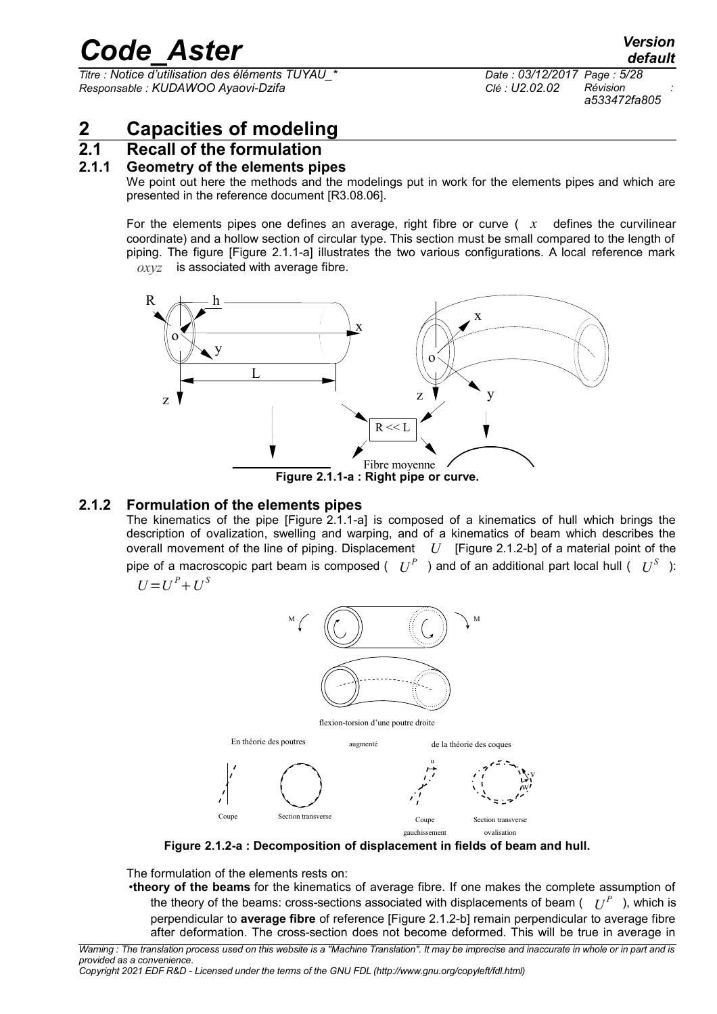*Titre : Notice d'utilisation des éléments TUYAU\_\* Date : 03/12/2017 Page : 5/28 Responsable : KUDAWOO Ayaovi-Dzifa Clé : U2.02.02 Révision :*

*a533472fa805*

### <span id="page-4-3"></span>**2 Capacities of modeling**

#### **2.1 Recall of the formulation**

#### **2.1.1 Geometry of the elements pipes**

<span id="page-4-2"></span><span id="page-4-1"></span>We point out here the methods and the modelings put in work for the elements pipes and which are presented in the reference document [R3.08.06].

For the elements pipes one defines an average, right fibre or curve  $(x -$  defines the curvilinear coordinate) and a hollow section of circular type. This section must be small compared to the length of piping. The figure [Figure 2.1.1-a] illustrates the two various configurations. A local reference mark *oxyz* is associated with average fibre.



#### **2.1.2 Formulation of the elements pipes**

<span id="page-4-0"></span>The kinematics of the pipe [Figure [2.1.1-a\]](#page-4-4) is composed of a kinematics of hull which brings the description of ovalization, swelling and warping, and of a kinematics of beam which describes the overall movement of the line of piping. Displacement *U* [Figure [2.1.2-b\]](#page-5-0) of a material point of the pipe of a macroscopic part beam is composed (  $|U^P|$  ) and of an additional part local hull (  $|U^S|$  ): *S*

$$
U = U^P + U^S
$$

<span id="page-4-4"></span>

flexion-torsion d'une poutre droite



**Figure 2.1.2-a : Decomposition of displacement in fields of beam and hull.**

The formulation of the elements rests on:

•**theory of the beams** for the kinematics of average fibre. If one makes the complete assumption of the theory of the beams: cross-sections associated with displacements of beam (  $\; \; U^{P} \;$  ), which is perpendicular to **average fibre** of reference [Figure 2.1.2-b] remain perpendicular to average fibre after deformation. The cross-section does not become deformed. This will be true in average in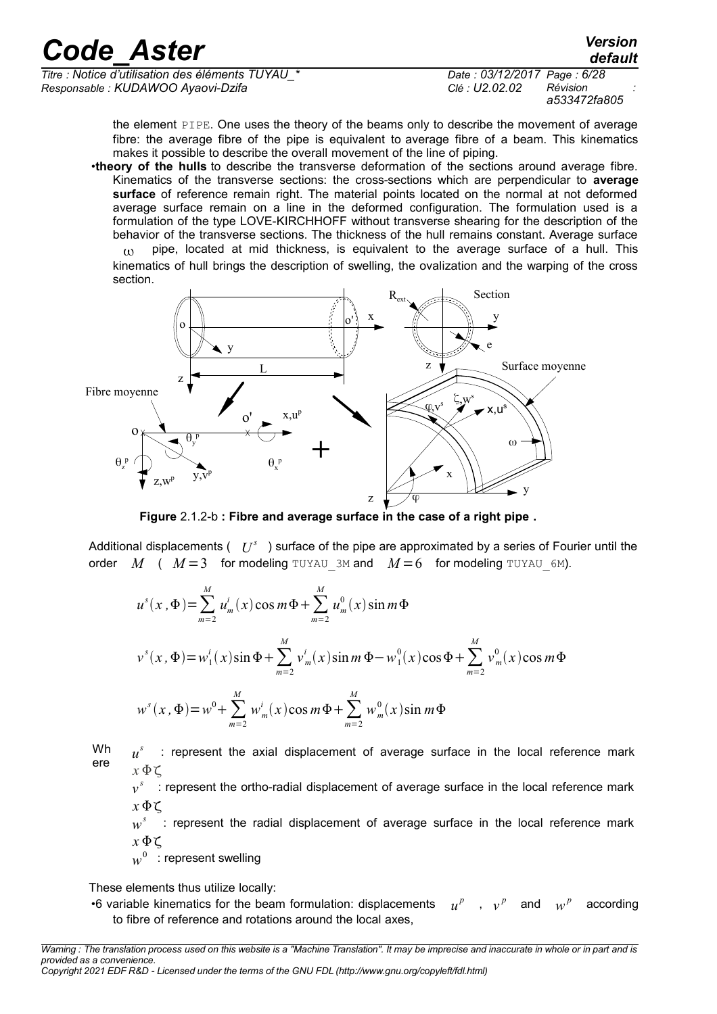*Titre : Notice d'utilisation des éléments TUYAU\_\* Date : 03/12/2017 Page : 6/28 Responsable : KUDAWOO Ayaovi-Dzifa Clé : U2.02.02 Révision :*

*a533472fa805*

*default*

the element PIPE. One uses the theory of the beams only to describe the movement of average fibre: the average fibre of the pipe is equivalent to average fibre of a beam. This kinematics makes it possible to describe the overall movement of the line of piping.

•**theory of the hulls** to describe the transverse deformation of the sections around average fibre. Kinematics of the transverse sections: the cross-sections which are perpendicular to **average surface** of reference remain right. The material points located on the normal at not deformed average surface remain on a line in the deformed configuration. The formulation used is a formulation of the type LOVE-KIRCHHOFF without transverse shearing for the description of the behavior of the transverse sections. The thickness of the hull remains constant. Average surface

 $p_i$  pipe, located at mid thickness, is equivalent to the average surface of a hull. This kinematics of hull brings the description of swelling, the ovalization and the warping of the cross section.



<span id="page-5-0"></span>**Figure** 2.1.2-b **: Fibre and average surface in the case of a right pipe .**

Additional displacements (  $|U^s|$  ) surface of the pipe are approximated by a series of Fourier until the order *M* (  $M=3$  for modeling TUYAU 3M and  $M=6$  for modeling TUYAU 6M).

$$
u^{s}(x, \Phi) = \sum_{m=2}^{M} u_{m}^{i}(x) \cos m\Phi + \sum_{m=2}^{M} u_{m}^{0}(x) \sin m\Phi
$$
  

$$
v^{s}(x, \Phi) = w_{1}^{i}(x) \sin \Phi + \sum_{m=2}^{M} v_{m}^{i}(x) \sin m\Phi - w_{1}^{0}(x) \cos \Phi + \sum_{m=2}^{M} v_{m}^{0}(x) \cos m\Phi
$$
  

$$
w^{s}(x, \Phi) = w^{0} + \sum_{m=2}^{M} w_{m}^{i}(x) \cos m\Phi + \sum_{m=2}^{M} w_{m}^{0}(x) \sin m\Phi
$$

Wh ere *u s* : represent the axial displacement of average surface in the local reference mark *x* Φζ

 $v^s$  : represent the ortho-radial displacement of average surface in the local reference mark *x* Φζ

*w s* : represent the radial displacement of average surface in the local reference mark  $x \Phi \zeta$ 

 $w^0_\parallel$  : represent swelling

These elements thus utilize locally:

•6 variable kinematics for the beam formulation: displacements *u*  $u^p$  , *v p* and *w*  $w^p$  according to fibre of reference and rotations around the local axes,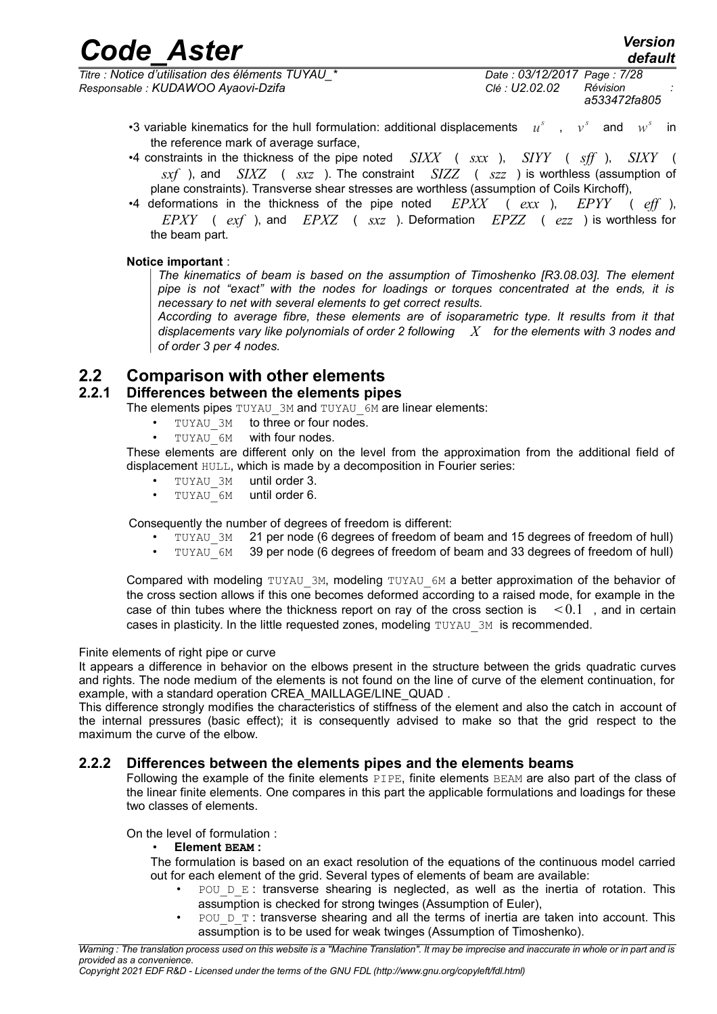| <b>Code Aster</b>                                | <b>Version</b><br>default   |
|--------------------------------------------------|-----------------------------|
| re : Notice d'utilisation des éléments TUYAU * . | Date: 03/12/2017 Page: 7/28 |

*Titre : Notice d'utilisation des éléments TUYAU\_\* Date : 03/12/2017 Page : 7/28 Responsable : KUDAWOO Ayaovi-Dzifa Clé : U2.02.02 Révision :*

*a533472fa805*

- •3 variable kinematics for the hull formulation: additional displacements  $u^s$ ,  $v^s$ and  $w^s$  in the reference mark of average surface,
- •4 constraints in the thickness of the pipe noted *SIXX* ( *sxx* ), *SIYY* ( *sff* ), *SIXY* ( *sxf* ), and *SIXZ* ( *sxz* ). The constraint *SIZZ* ( *szz* ) is worthless (assumption of plane constraints). Transverse shear stresses are worthless (assumption of Coils Kirchoff),
- •4 deformations in the thickness of the pipe noted *EPXX* ( *exx* ), *EPYY* ( *eff* ), *EPXY* ( *exf* ), and *EPXZ* ( *sxz* ). Deformation *EPZZ* ( *ezz* ) is worthless for the beam part.

#### **Notice important** :

*The kinematics of beam is based on the assumption of Timoshenko [R3.08.03]. The element pipe is not "exact" with the nodes for loadings or torques concentrated at the ends, it is necessary to net with several elements to get correct results.*

*According to average fibre, these elements are of isoparametric type. It results from it that displacements vary like polynomials of order 2 following X for the elements with 3 nodes and of order 3 per 4 nodes.*

#### **2.2 Comparison with other elements**

#### **2.2.1 Differences between the elements pipes**

<span id="page-6-2"></span><span id="page-6-1"></span>The elements pipes TUYAU 3M and TUYAU 6M are linear elements:

- TUYAU 3M to three or four nodes.
- TUYAU 6M with four nodes.

These elements are different only on the level from the approximation from the additional field of displacement HULL, which is made by a decomposition in Fourier series:

- TUYAU 3M until order 3.
- $\cdot$  TUYAU 6M until order 6.

Consequently the number of degrees of freedom is different:

- TUYAU 3M 21 per node (6 degrees of freedom of beam and 15 degrees of freedom of hull)
- TUYAU\_6M 39 per node (6 degrees of freedom of beam and 33 degrees of freedom of hull)

Compared with modeling TUYAU 3M, modeling TUYAU 6M a better approximation of the behavior of the cross section allows if this one becomes deformed according to a raised mode, for example in the case of thin tubes where the thickness report on ray of the cross section is  $\leq 0.1$ , and in certain cases in plasticity. In the little requested zones, modeling TUYAU 3M is recommended.

#### Finite elements of right pipe or curve

It appears a difference in behavior on the elbows present in the structure between the grids quadratic curves and rights. The node medium of the elements is not found on the line of curve of the element continuation, for example, with a standard operation CREA\_MAILLAGE/LINE\_QUAD .

This difference strongly modifies the characteristics of stiffness of the element and also the catch in account of the internal pressures (basic effect); it is consequently advised to make so that the grid respect to the maximum the curve of the elbow.

#### **2.2.2 Differences between the elements pipes and the elements beams**

<span id="page-6-0"></span>Following the example of the finite elements PIPE, finite elements BEAM are also part of the class of the linear finite elements. One compares in this part the applicable formulations and loadings for these two classes of elements.

On the level of formulation :

#### • **Element BEAM :**

The formulation is based on an exact resolution of the equations of the continuous model carried out for each element of the grid. Several types of elements of beam are available:

- POU  $D$  E : transverse shearing is neglected, as well as the inertia of rotation. This assumption is checked for strong twinges (Assumption of Euler),
- POU  $D$  T: transverse shearing and all the terms of inertia are taken into account. This assumption is to be used for weak twinges (Assumption of Timoshenko).

*Warning : The translation process used on this website is a "Machine Translation". It may be imprecise and inaccurate in whole or in part and is provided as a convenience.*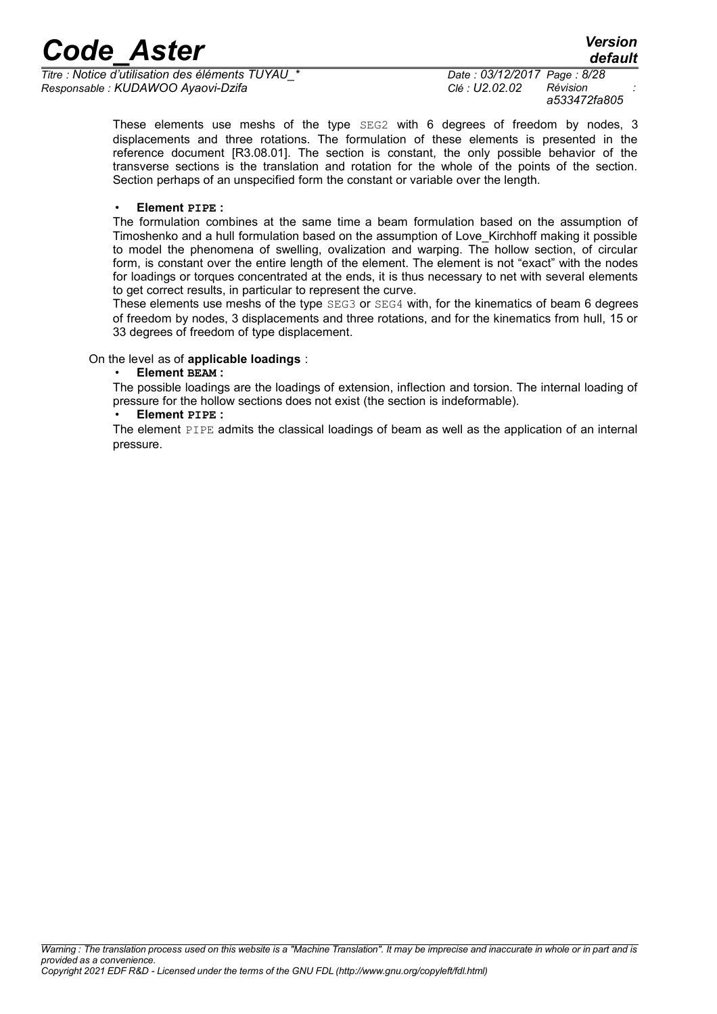*Titre : Notice d'utilisation des éléments TUYAU\_\* Date : 03/12/2017 Page : 8/28 Responsable : KUDAWOO Ayaovi-Dzifa Clé : U2.02.02 Révision :*

*a533472fa805*

*default*

These elements use meshs of the type SEG2 with 6 degrees of freedom by nodes, 3 displacements and three rotations. The formulation of these elements is presented in the reference document [R3.08.01]. The section is constant, the only possible behavior of the transverse sections is the translation and rotation for the whole of the points of the section. Section perhaps of an unspecified form the constant or variable over the length.

#### • **Element PIPE :**

The formulation combines at the same time a beam formulation based on the assumption of Timoshenko and a hull formulation based on the assumption of Love\_Kirchhoff making it possible to model the phenomena of swelling, ovalization and warping. The hollow section, of circular form, is constant over the entire length of the element. The element is not "exact" with the nodes for loadings or torques concentrated at the ends, it is thus necessary to net with several elements to get correct results, in particular to represent the curve.

These elements use meshs of the type SEG3 or SEG4 with, for the kinematics of beam 6 degrees of freedom by nodes, 3 displacements and three rotations, and for the kinematics from hull, 15 or 33 degrees of freedom of type displacement.

#### On the level as of **applicable loadings** :

• **Element BEAM :**

The possible loadings are the loadings of extension, inflection and torsion. The internal loading of pressure for the hollow sections does not exist (the section is indeformable).

• **Element PIPE :**

The element PIPE admits the classical loadings of beam as well as the application of an internal pressure.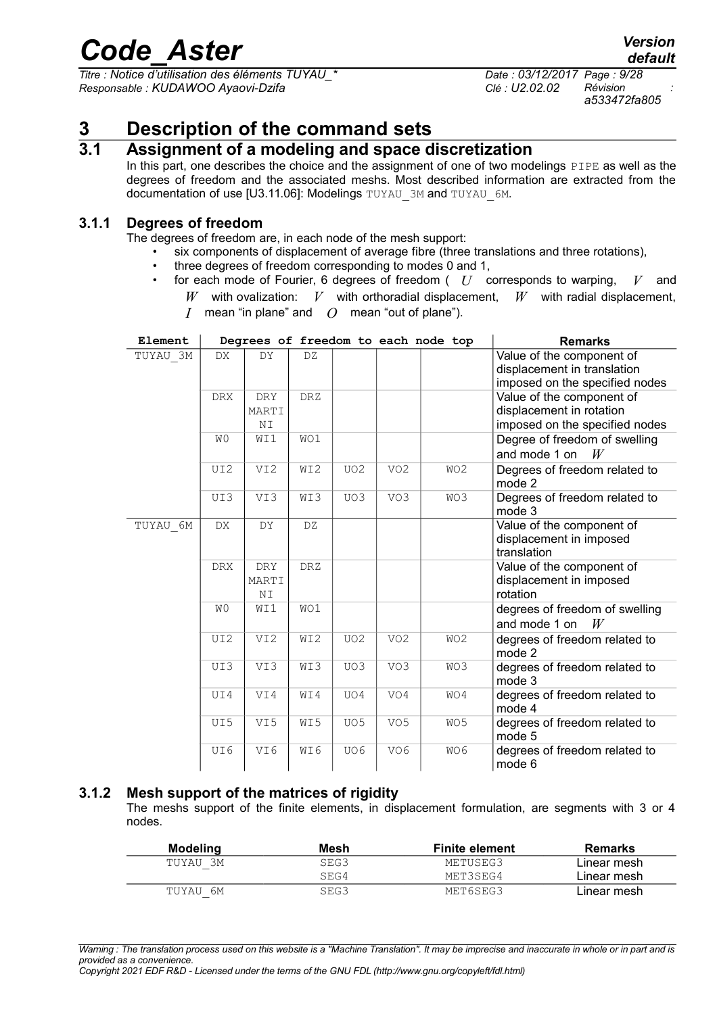*Titre : Notice d'utilisation des éléments TUYAU\_\* Date : 03/12/2017 Page : 9/28 Responsable : KUDAWOO Ayaovi-Dzifa Clé : U2.02.02 Révision :*

*a533472fa805*

### **3 Description of the command sets**

#### **3.1 Assignment of a modeling and space discretization**

<span id="page-8-3"></span><span id="page-8-2"></span>In this part, one describes the choice and the assignment of one of two modelings PIPE as well as the degrees of freedom and the associated meshs. Most described information are extracted from the documentation of use [U3.11.06]: Modelings TUYAU\_3M and TUYAU\_6M.

#### **3.1.1 Degrees of freedom**

<span id="page-8-1"></span>The degrees of freedom are, in each node of the mesh support:

- six components of displacement of average fibre (three translations and three rotations),
	- three degrees of freedom corresponding to modes 0 and 1,
- for each mode of Fourier, 6 degrees of freedom ( *U* corresponds to warping, *V* and
	- $W$  with ovalization:  $V$  with orthoradial displacement,  $W$  with radial displacement,
	- *I* mean "in plane" and *O* mean "out of plane").

| Element  |                | Degrees of freedom to each node top |            |                 |                 |                 | <b>Remarks</b>                                                                             |
|----------|----------------|-------------------------------------|------------|-----------------|-----------------|-----------------|--------------------------------------------------------------------------------------------|
| TUYAU 3M | DX             | DY                                  | DZ         |                 |                 |                 | Value of the component of<br>displacement in translation<br>imposed on the specified nodes |
|          | <b>DRX</b>     | DRY                                 | DRZ        |                 |                 |                 | Value of the component of                                                                  |
|          |                | MARTI                               |            |                 |                 |                 | displacement in rotation                                                                   |
|          |                | ΝI                                  |            |                 |                 |                 | imposed on the specified nodes                                                             |
|          | W <sub>0</sub> | WI1                                 | WO1        |                 |                 |                 | Degree of freedom of swelling                                                              |
|          |                |                                     |            |                 |                 |                 | and mode 1 on<br>W                                                                         |
|          | UI2            | VI2                                 | WI2        | UO <sub>2</sub> | VO <sub>2</sub> | WO <sub>2</sub> | Degrees of freedom related to<br>mode 2                                                    |
|          | UI3            | VI3                                 | WI3        | UO3             | VO3             | WO3             | Degrees of freedom related to<br>mode 3                                                    |
| TUYAU 6M | DX.            | DY                                  | DZ.        |                 |                 |                 | Value of the component of<br>displacement in imposed<br>translation                        |
|          | <b>DRX</b>     | <b>DRY</b>                          | <b>DRZ</b> |                 |                 |                 | Value of the component of                                                                  |
|          |                | MARTI                               |            |                 |                 |                 | displacement in imposed                                                                    |
|          |                | ΝI                                  |            |                 |                 |                 | rotation                                                                                   |
|          | W <sub>0</sub> | WI1                                 | WO1        |                 |                 |                 | degrees of freedom of swelling<br>and mode 1 on<br>W                                       |
|          | UI2            | VI <sub>2</sub>                     | WI2        | UO <sub>2</sub> | VO <sub>2</sub> | WO2             | degrees of freedom related to<br>mode 2                                                    |
|          | UI3            | VI3                                 | WI3        | UO3             | VO <sub>3</sub> | WO3             | degrees of freedom related to<br>mode 3                                                    |
|          | UI4            | VI4                                 | WI4        | UO4             | VO4             | WO4             | degrees of freedom related to<br>mode 4                                                    |
|          | UI5            | VI5                                 | WI5        | UO <sub>5</sub> | VO <sub>5</sub> | WO <sub>5</sub> | degrees of freedom related to<br>mode 5                                                    |
|          | UI6            | VI6                                 | WI6        | UO6             | VO <sub>6</sub> | WO6             | degrees of freedom related to<br>mode 6                                                    |

#### **3.1.2 Mesh support of the matrices of rigidity**

<span id="page-8-0"></span>The meshs support of the finite elements, in displacement formulation, are segments with 3 or 4 nodes.

| Modelina | Mesh | <b>Finite element</b> | <b>Remarks</b> |
|----------|------|-----------------------|----------------|
| TUYAU 3M | SEG3 | METUSEG3              | Linear mesh    |
|          | SEG4 | MET3SEG4              | Linear mesh    |
| TUYAU 6M | SEG3 | MET6SEG3              | Linear mesh    |

*Warning : The translation process used on this website is a "Machine Translation". It may be imprecise and inaccurate in whole or in part and is provided as a convenience.*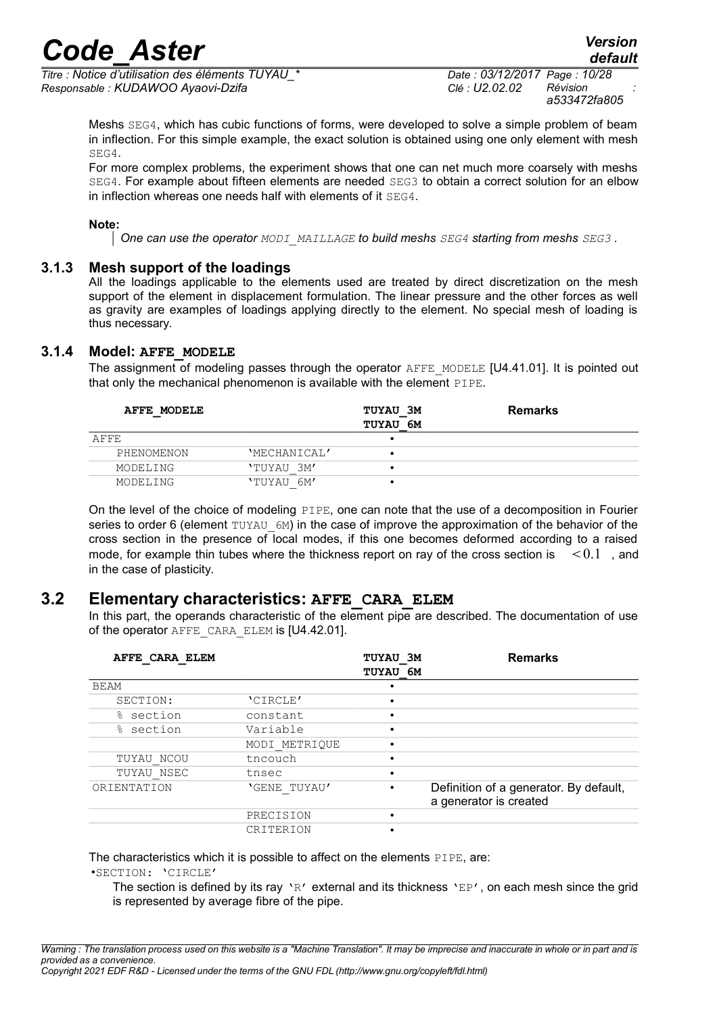*Titre : Notice d'utilisation des éléments TUYAU\_\* Date : 03/12/2017 Page : 10/28 Responsable : KUDAWOO Ayaovi-Dzifa Clé : U2.02.02 Révision :*

*a533472fa805*

Meshs SEG4, which has cubic functions of forms, were developed to solve a simple problem of beam in inflection. For this simple example, the exact solution is obtained using one only element with mesh SEG4.

For more complex problems, the experiment shows that one can net much more coarsely with meshs SEG4. For example about fifteen elements are needed SEG3 to obtain a correct solution for an elbow in inflection whereas one needs half with elements of it SEG4.

#### **Note:**

*One can use the operator MODI\_MAILLAGE to build meshs SEG4 starting from meshs SEG3 .*

#### **3.1.3 Mesh support of the loadings**

<span id="page-9-2"></span>All the loadings applicable to the elements used are treated by direct discretization on the mesh support of the element in displacement formulation. The linear pressure and the other forces as well as gravity are examples of loadings applying directly to the element. No special mesh of loading is thus necessary.

#### **3.1.4 Model: AFFE\_MODELE**

<span id="page-9-1"></span>The assignment of modeling passes through the operator AFFE\_MODELE [U4.41.01]. It is pointed out that only the mechanical phenomenon is available with the element PIPE.

| AFFE MODELE |              | <b>TUYAU 3M</b><br><b>TUYAU 6M</b> | <b>Remarks</b> |
|-------------|--------------|------------------------------------|----------------|
| AFFE        |              |                                    |                |
| PHENOMENON  | 'MECHANICAL' |                                    |                |
| MODELING    | 'TUYAU 3M'   |                                    |                |
| MODELING    | 'TUYAU 6M'   |                                    |                |

On the level of the choice of modeling PIPE, one can note that the use of a decomposition in Fourier series to order 6 (element  $TUXAU$  6M) in the case of improve the approximation of the behavior of the cross section in the presence of local modes, if this one becomes deformed according to a raised mode, for example thin tubes where the thickness report on ray of the cross section is  $\leq 0.1$ , and in the case of plasticity.

#### **3.2 Elementary characteristics: AFFE\_CARA\_ELEM**

<span id="page-9-0"></span>In this part, the operands characteristic of the element pipe are described. The documentation of use of the operator AFFE\_CARA\_ELEM is [U4.42.01].

| AFFE CARA ELEM |               | TUYAU 3M<br>TUYAU 6M | <b>Remarks</b>                                                   |
|----------------|---------------|----------------------|------------------------------------------------------------------|
| <b>BEAM</b>    |               |                      |                                                                  |
| SECTION:       | 'CIRCLE'      |                      |                                                                  |
| section<br>⊱   | constant      |                      |                                                                  |
| % section      | Variable      |                      |                                                                  |
|                | MODI METRIQUE |                      |                                                                  |
| TUYAU NCOU     | tncouch       |                      |                                                                  |
| TUYAU NSEC     | tnsec         |                      |                                                                  |
| ORIENTATION    | 'GENE TUYAU'  |                      | Definition of a generator. By default,<br>a generator is created |
|                | PRECISION     |                      |                                                                  |
|                | CRITERION     |                      |                                                                  |

The characteristics which it is possible to affect on the elements PIPE, are:

•SECTION: 'CIRCLE'

The section is defined by its ray 'R' external and its thickness 'EP', on each mesh since the grid is represented by average fibre of the pipe.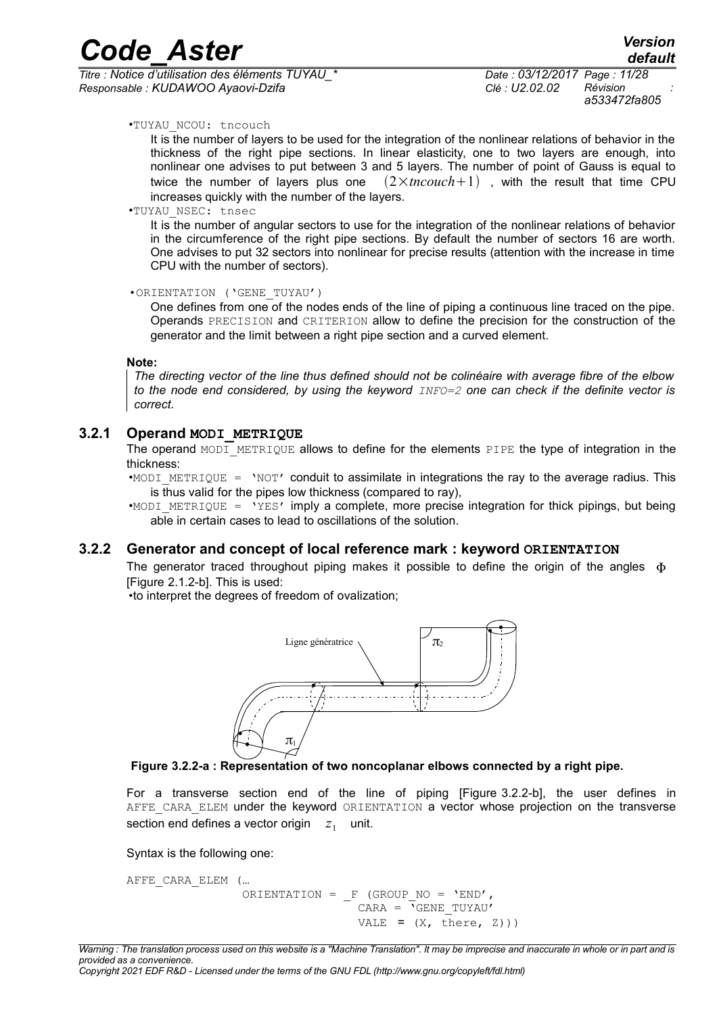*Titre : Notice d'utilisation des éléments TUYAU\_\* Date : 03/12/2017 Page : 11/28 Responsable : KUDAWOO Ayaovi-Dzifa Clé : U2.02.02 Révision :*

*a533472fa805*

*default*

#### •TUYAU\_NCOU: tncouch

It is the number of layers to be used for the integration of the nonlinear relations of behavior in the thickness of the right pipe sections. In linear elasticity, one to two layers are enough, into nonlinear one advises to put between 3 and 5 layers. The number of point of Gauss is equal to twice the number of layers plus one  $(2 \times \text{tncouch}+1)$ , with the result that time CPU increases quickly with the number of the layers.

*Code\_Aster Version*

#### •TUYAU\_NSEC: tnsec

It is the number of angular sectors to use for the integration of the nonlinear relations of behavior in the circumference of the right pipe sections. By default the number of sectors 16 are worth. One advises to put 32 sectors into nonlinear for precise results (attention with the increase in time CPU with the number of sectors).

#### •ORIENTATION ('GENE\_TUYAU')

One defines from one of the nodes ends of the line of piping a continuous line traced on the pipe. Operands PRECISION and CRITERION allow to define the precision for the construction of the generator and the limit between a right pipe section and a curved element.

#### **Note:**

*The directing vector of the line thus defined should not be colinéaire with average fibre of the elbow to the node end considered, by using the keyword INFO=2 one can check if the definite vector is correct.*

#### **3.2.1 Operand MODI\_METRIQUE**

<span id="page-10-1"></span>The operand MODI METRIQUE allows to define for the elements PIPE the type of integration in the thickness:

•MODI METRIQUE = 'NOT' conduit to assimilate in integrations the ray to the average radius. This is thus valid for the pipes low thickness (compared to ray),

•MODI METRIQUE = 'YES' imply a complete, more precise integration for thick pipings, but being able in certain cases to lead to oscillations of the solution.

#### **3.2.2 Generator and concept of local reference mark : keyword ORIENTATION**

<span id="page-10-0"></span>The generator traced throughout piping makes it possible to define the origin of the angles  $\Phi$ [Figure [2.1.2-b\]](#page-5-0). This is used:

•to interpret the degrees of freedom of ovalization;





For a transverse section end of the line of piping [Figure [3.2.2-b\]](#page-11-1), the user defines in AFFE CARA ELEM under the keyword ORIENTATION a vector whose projection on the transverse section end defines a vector origin  $\|z_1\|$  unit.

Syntax is the following one:

AFFE\_CARA\_ELEM ( ... ORIENTATION =  $F$  (GROUP NO = 'END',  $CARA = \sqrt{GENE} TUYAU'$ VALE =  $(X, \text{ there}, Z))$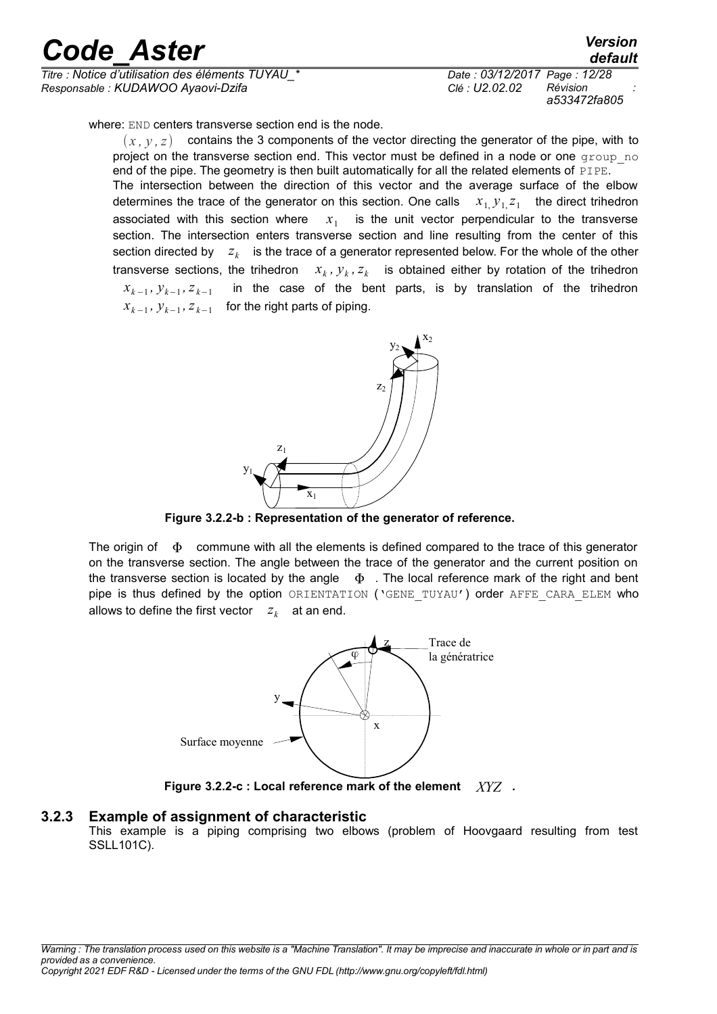*Titre : Notice d'utilisation des éléments TUYAU\_\* Date : 03/12/2017 Page : 12/28 Responsable : KUDAWOO Ayaovi-Dzifa Clé : U2.02.02 Révision :*

*a533472fa805*

*default*

where: END centers transverse section end is the node.

 $(x, y, z)$  contains the 3 components of the vector directing the generator of the pipe, with to project on the transverse section end. This vector must be defined in a node or one group no end of the pipe. The geometry is then built automatically for all the related elements of PIPE. The intersection between the direction of this vector and the average surface of the elbow determines the trace of the generator on this section. One calls  $x_1, y_1, z_1$  the direct trihedron associated with this section where  $x_1$  is the unit vector perpendicular to the transverse section. The intersection enters transverse section and line resulting from the center of this section directed by  $\|z_k\|$  is the trace of a generator represented below. For the whole of the other transverse sections, the trihedron *x<sup>k</sup>* ,  $y_k$ ,  $z_k$  is obtained either by rotation of the trihedron  $x_{k-1}, y_{k-1}, z_{k-1}$  in the case of the bent parts, is by translation of the trihedron  $x_{k-1}$ ,  $y_{k-1}$ ,  $z_{k-1}$  for the right parts of piping.



<span id="page-11-1"></span>**Figure 3.2.2-b : Representation of the generator of reference.**

The origin of  $\Phi$  commune with all the elements is defined compared to the trace of this generator on the transverse section. The angle between the trace of the generator and the current position on the transverse section is located by the angle  $\Phi$ . The local reference mark of the right and bent pipe is thus defined by the option ORIENTATION ('GENE TUYAU') order AFFE CARA ELEM who allows to define the first vector  $z_k$  at an end.



**Figure 3.2.2-c : Local reference mark of the element** *XYZ* **.**

#### **3.2.3 Example of assignment of characteristic**

<span id="page-11-0"></span>This example is a piping comprising two elbows (problem of Hoovgaard resulting from test SSLL101C).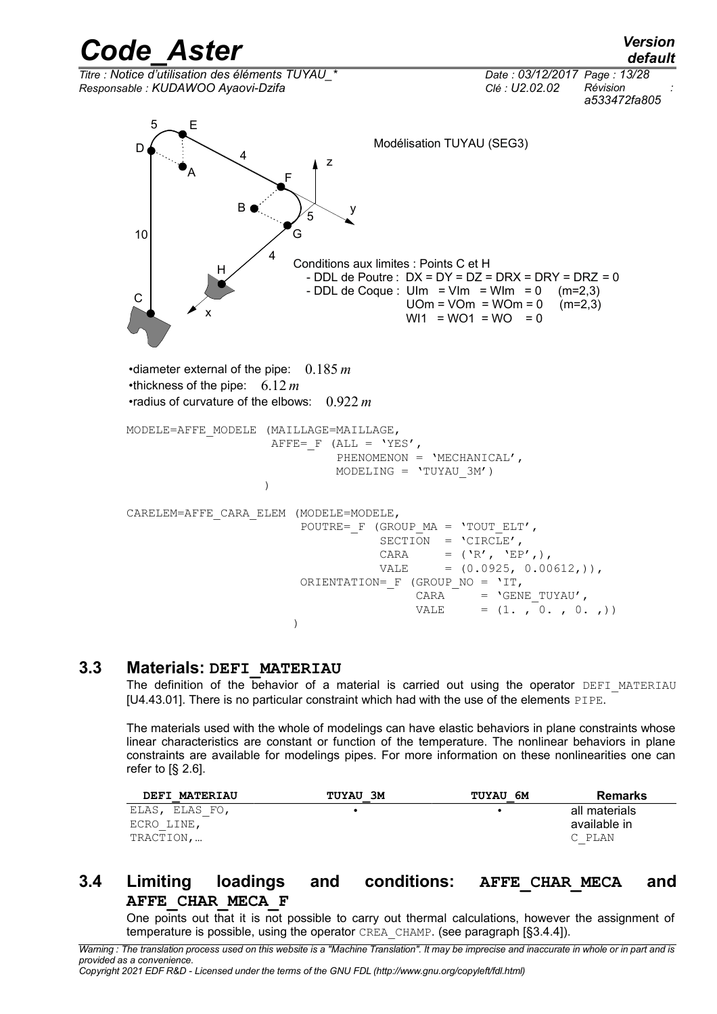*Code\_Aster Version default Titre : Notice d'utilisation des éléments TUYAU\_\* Date : 03/12/2017 Page : 13/28 Responsable : KUDAWOO Ayaovi-Dzifa Clé : U2.02.02 Révision : a533472fa805* z y x A B 10 4 5 5 4 Modélisation TUYAU (SEG3) C H G F E D Conditions aux limites : Points C et H - DDL de Poutre :  $DX = DY = DZ = DRX = DRY = DRZ = 0$ <br>- DDL de Coque : Ulm = Vlm = Wlm = 0 (m=2.3)  $-DDL$  de Coque : UIm = VIm = WIm = 0  $UOm = VOm = WOm = 0$  (m=2,3)  $W11 = W01 = W0 = 0$ •diameter external of the pipe: 0.185 *m* •thickness of the pipe: 6.12 *m* •radius of curvature of the elbows: 0.922 *m* MODELE=AFFE\_MODELE (MAILLAGE=MAILLAGE, AFFE=  $F$  (ALL = 'YES', PHENOMENON = 'MECHANICAL', MODELING = 'TUYAU\_3M')  $)$ CARELEM=AFFE\_CARA\_ELEM (MODELE=MODELE, POUTRE=  $F$  (GROUP MA = 'TOUT ELT', SECTION =  $\text{CIRCLE}',$ CARA =  $(\n\cdot \mathbb{R}', \n\cdot \mathbb{E} P',),$ VALE  $= (0.0925, 0.00612,))$ , ORIENTATION= F (GROUP NO = 'IT, CARA = 'GENE TUYAU', VALE =  $(1. , 0. , 0. )$ )

#### **3.3 Materials: DEFI\_MATERIAU**

<span id="page-12-1"></span>The definition of the behavior of a material is carried out using the operator DEFI\_MATERIAU [U4.43.01]. There is no particular constraint which had with the use of the elements PIPE.

The materials used with the whole of modelings can have elastic behaviors in plane constraints whose linear characteristics are constant or function of the temperature. The nonlinear behaviors in plane constraints are available for modelings pipes. For more information on these nonlinearities one can refer to  $\S$  2.6].

| <b>DEFI MATERIAU</b> | TUYAU 3M | <b>TUYAU 6M</b> | <b>Remarks</b> |
|----------------------|----------|-----------------|----------------|
| ELAS, ELAS FO,       |          |                 | all materials  |
| ECRO LINE,           |          |                 | available in   |
| TRACTION,            |          |                 | C PLAN         |

#### **3.4 Limiting loadings and conditions: AFFE\_CHAR\_MECA and AFFE\_CHAR\_MECA\_F**

<span id="page-12-0"></span>One points out that it is not possible to carry out thermal calculations, however the assignment of temperature is possible, using the operator CREA\_CHAMP. (see paragraph [§3.4.4]).

*Warning : The translation process used on this website is a "Machine Translation". It may be imprecise and inaccurate in whole or in part and is provided as a convenience.*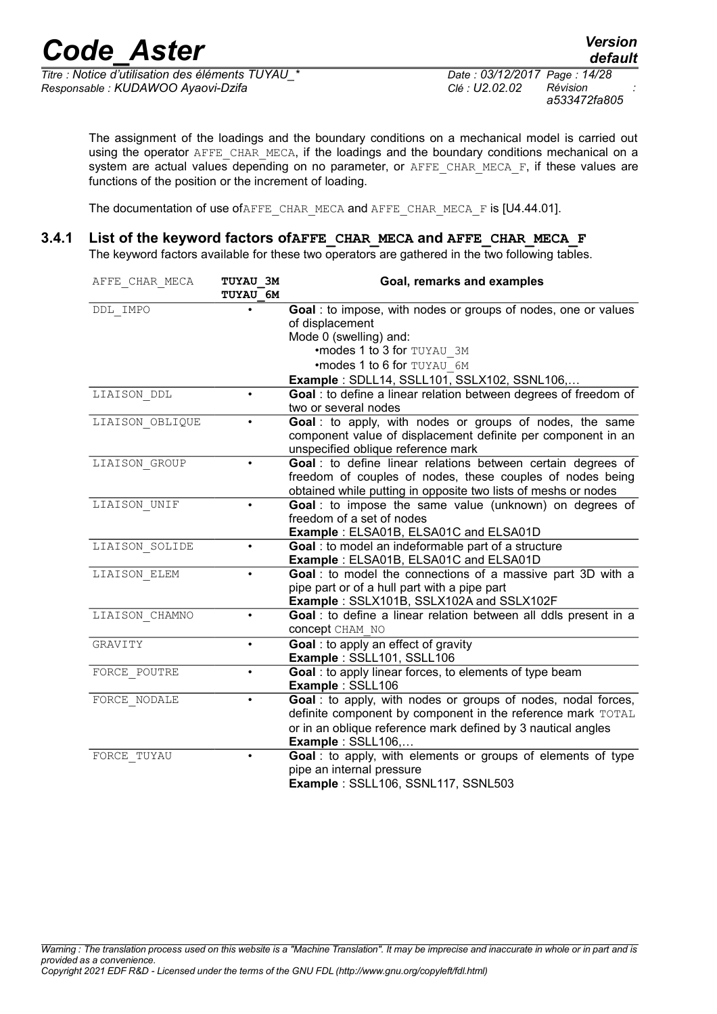$\frac{a}{\text{Time}}$  *:* Notice d'utilisation des éléments TUYAU *Responsable : KUDAWOO Ayaovi-Dzifa Clé : U2.02.02 Révision :*

The assignment of the loadings and the boundary conditions on a mechanical model is carried out using the operator AFFE\_CHAR\_MECA, if the loadings and the boundary conditions mechanical on a system are actual values depending on no parameter, or  $AFFE$  CHAR MECA  $F$ , if these values are functions of the position or the increment of loading.

The documentation of use ofAFFE\_CHAR\_MECA and AFFE\_CHAR\_MECA\_F is [U4.44.01].

#### **3.4.1 List of the keyword factors ofAFFE\_CHAR\_MECA and AFFE\_CHAR\_MECA\_F**

<span id="page-13-0"></span>The keyword factors available for these two operators are gathered in the two following tables.

| AFFE CHAR MECA  | TUYAU 3M        | Goal, remarks and examples                                       |
|-----------------|-----------------|------------------------------------------------------------------|
|                 | <b>TUYAU 6M</b> |                                                                  |
| DDL IMPO        |                 | Goal : to impose, with nodes or groups of nodes, one or values   |
|                 |                 | of displacement                                                  |
|                 |                 | Mode 0 (swelling) and:                                           |
|                 |                 | •modes 1 to 3 for TUYAU 3M                                       |
|                 |                 | •modes 1 to 6 for TUYAU 6M                                       |
|                 |                 | Example : SDLL14, SSLL101, SSLX102, SSNL106,                     |
| LIAISON DDL     | $\bullet$       | Goal : to define a linear relation between degrees of freedom of |
|                 |                 | two or several nodes                                             |
| LIAISON OBLIQUE |                 | Goal : to apply, with nodes or groups of nodes, the same         |
|                 |                 | component value of displacement definite per component in an     |
|                 |                 | unspecified oblique reference mark                               |
| LIAISON GROUP   |                 | Goal : to define linear relations between certain degrees of     |
|                 |                 | freedom of couples of nodes, these couples of nodes being        |
|                 |                 | obtained while putting in opposite two lists of meshs or nodes   |
| LIAISON UNIF    | ٠               | Goal: to impose the same value (unknown) on degrees of           |
|                 |                 | freedom of a set of nodes                                        |
|                 |                 | Example: ELSA01B, ELSA01C and ELSA01D                            |
| LIAISON SOLIDE  | $\bullet$       | Goal : to model an indeformable part of a structure              |
|                 |                 | Example: ELSA01B, ELSA01C and ELSA01D                            |
| LIAISON ELEM    | ٠               | Goal : to model the connections of a massive part 3D with a      |
|                 |                 | pipe part or of a hull part with a pipe part                     |
|                 |                 | Example: SSLX101B, SSLX102A and SSLX102F                         |
| LIAISON CHAMNO  | $\bullet$       | Goal : to define a linear relation between all ddls present in a |
|                 |                 | <b>concept</b> CHAM NO                                           |
| GRAVITY         | $\bullet$       | Goal: to apply an effect of gravity                              |
|                 |                 | Example: SSLL101, SSLL106                                        |
| FORCE POUTRE    | $\bullet$       | Goal : to apply linear forces, to elements of type beam          |
|                 |                 | Example: SSLL106                                                 |
| FORCE NODALE    |                 | Goal : to apply, with nodes or groups of nodes, nodal forces,    |
|                 |                 | definite component by component in the reference mark TOTAL      |
|                 |                 | or in an oblique reference mark defined by 3 nautical angles     |
|                 |                 | Example: SSLL106,                                                |
| FORCE TUYAU     |                 | Goal : to apply, with elements or groups of elements of type     |
|                 |                 | pipe an internal pressure                                        |
|                 |                 | Example: SSLL106, SSNL117, SSNL503                               |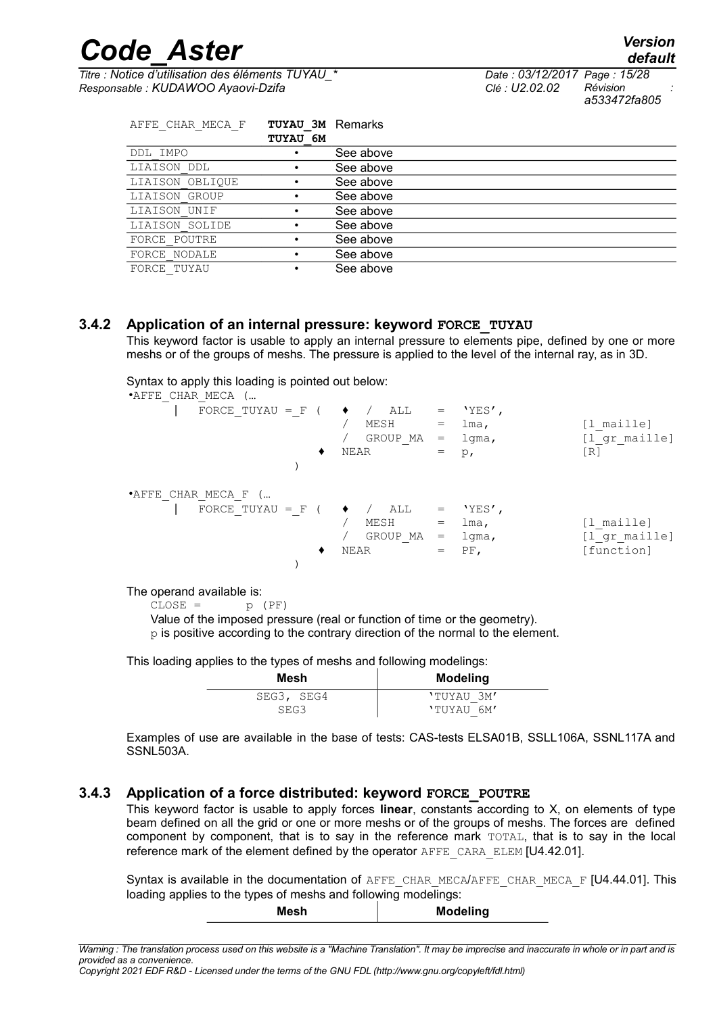*Titre : Notice d'utilisation des éléments TUYAU\_\* Date : 03/12/2017 Page : 15/28 Responsable : KUDAWOO Ayaovi-Dzifa Clé : U2.02.02 Révision :*

*a533472fa805*

| AFFE CHAR MECA F | <b>TUYAU 3M Remarks</b><br>TUYAU 6M |           |
|------------------|-------------------------------------|-----------|
| DDL IMPO         |                                     | See above |
| LIAISON DDL      |                                     | See above |
| LIAISON OBLIQUE  |                                     | See above |
| LIAISON GROUP    |                                     | See above |
| LIAISON UNIF     |                                     | See above |
| LIAISON SOLIDE   | ٠                                   | See above |
| FORCE POUTRE     |                                     | See above |
| FORCE NODALE     |                                     | See above |
| FORCE TUYAU      |                                     | See above |

#### **3.4.2 Application of an internal pressure: keyword FORCE\_TUYAU**

<span id="page-14-1"></span>This keyword factor is usable to apply an internal pressure to elements pipe, defined by one or more meshs or of the groups of meshs. The pressure is applied to the level of the internal ray, as in 3D.

Syntax to apply this loading is pointed out below:

| •AFFE CHAR MECA (                          |                                 |                                                                                      |                                                 |                                           |
|--------------------------------------------|---------------------------------|--------------------------------------------------------------------------------------|-------------------------------------------------|-------------------------------------------|
| FORCE TUYAU = F ( $\rightarrow$ / ALL<br>٠ | MESH<br>GROUP MA<br><b>NEAR</b> | $\hspace{1.6cm} = \hspace{1.6cm}$<br>$=$<br>$\hspace{1.6cm} = \hspace{1.6cm}$<br>$=$ | $'$ YES $'$ ,<br>lma,<br>$1$ qma,<br>$p_{\ell}$ | [1 maille]<br>[1 gr maille]<br>[R]        |
| *AFFE CHAR MECA F (                        |                                 |                                                                                      |                                                 |                                           |
| FORCE TUYAU = F ( $\blacklozenge$<br>٠     | ALL<br>MESH<br>GROUP MA<br>NEAR | $=$<br>$=$<br>$=$<br>$=$                                                             | $'$ YES $'$ ,<br>lma,<br>lgma,<br>$PF$ ,        | [l maille]<br>[1 gr maille]<br>[function] |

The operand available is:

 $CLOSE = p (PF)$ 

Value of the imposed pressure (real or function of time or the geometry).

 $p$  is positive according to the contrary direction of the normal to the element.

This loading applies to the types of meshs and following modelings:

| Mesh       | <b>Modeling</b> |
|------------|-----------------|
| SEG3, SEG4 | 'TUYAU 3M'      |
| SEG3       | 'TUYAU 6M'      |

Examples of use are available in the base of tests: CAS-tests ELSA01B, SSLL106A, SSNL117A and SSNL503A.

#### **3.4.3 Application of a force distributed: keyword FORCE\_POUTRE**

<span id="page-14-0"></span>This keyword factor is usable to apply forces **linear**, constants according to X, on elements of type beam defined on all the grid or one or more meshs or of the groups of meshs. The forces are defined component by component, that is to say in the reference mark TOTAL, that is to say in the local reference mark of the element defined by the operator AFFE\_CARA\_ELEM [U4.42.01].

Syntax is available in the documentation of AFFE\_CHAR\_MECA/AFFE\_CHAR\_MECA\_F [U4.44.01]. This loading applies to the types of meshs and following modelings: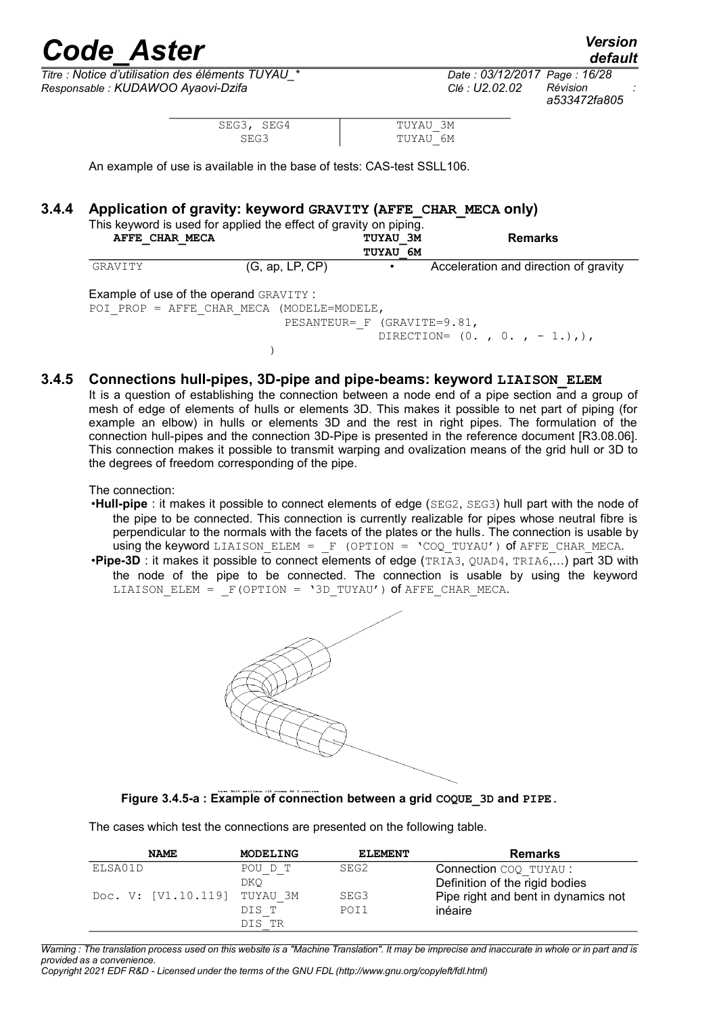*Titre : Notice d'utilisation des éléments TUYAU\_\* Date : 03/12/2017 Page : 16/28 Responsable : KUDAWOO Ayaovi-Dzifa Clé : U2.02.02 Révision :*

 $)$ 

*default a533472fa805*

| SEG3, SEG4 | TUYAU 3M |
|------------|----------|
| SEG3       | TUYAU 6M |

An example of use is available in the base of tests: CAS-test SSLL106.

#### **3.4.4 Application of gravity: keyword GRAVITY (AFFE\_CHAR\_MECA only)**

<span id="page-15-1"></span>

|                                               | This keyword is used for applied the effect of gravity on piping. |                                    |                                       |
|-----------------------------------------------|-------------------------------------------------------------------|------------------------------------|---------------------------------------|
| AFFE CHAR MECA                                |                                                                   | <b>TUYAU 3M</b><br><b>TUYAU 6M</b> | <b>Remarks</b>                        |
| GRAVITY                                       | (G, ap, LP, CP)                                                   |                                    | Acceleration and direction of gravity |
| <b>Example of use of the operand GRAVITY:</b> |                                                                   |                                    |                                       |
|                                               | POI PROP = AFFE CHAR MECA (MODELE=MODELE,                         |                                    |                                       |

PESANTEUR= F (GRAVITE=9.81,

DIRECTION=  $(0. , 0. , -1. ),$ 

#### **3.4.5 Connections hull-pipes, 3D-pipe and pipe-beams: keyword LIAISON\_ELEM**

<span id="page-15-0"></span>It is a question of establishing the connection between a node end of a pipe section and a group of mesh of edge of elements of hulls or elements 3D. This makes it possible to net part of piping (for example an elbow) in hulls or elements 3D and the rest in right pipes. The formulation of the connection hull-pipes and the connection 3D-Pipe is presented in the reference document [R3.08.06]. This connection makes it possible to transmit warping and ovalization means of the grid hull or 3D to the degrees of freedom corresponding of the pipe.

The connection:

- •**Hull-pipe** : it makes it possible to connect elements of edge (SEG2, SEG3) hull part with the node of the pipe to be connected. This connection is currently realizable for pipes whose neutral fibre is perpendicular to the normals with the facets of the plates or the hulls*.* The connection is usable by using the keyword LIAISON ELEM =  $F$  (OPTION = 'COQ TUYAU') of AFFE CHAR MECA.
- •**Pipe-3D** : it makes it possible to connect elements of edge (TRIA3, QUAD4, TRIA6,…) part 3D with the node of the pipe to be connected. The connection is usable by using the keyword LIAISON ELEM =  $F(OPTION = '3D TUYAU')$  of AFFE CHAR MECA.



#### **Figure 3.4.5-a : Example of connection between a grid COQUE\_3D and PIPE.**

The cases which test the connections are presented on the following table.

| <b>NAME</b>         | MODELING | <b>ELEMENT</b> | Remarks                             |
|---------------------|----------|----------------|-------------------------------------|
| ELSA01D             | POU D T  | SEG2           | Connection COQ TUYAU :              |
|                     | DKO      |                | Definition of the rigid bodies      |
| Doc. V: [V1.10.119] | TUYAU 3M | SEG3           | Pipe right and bent in dynamics not |
|                     | DIS T    | POI1           | inéaire                             |
|                     | DIS TR   |                |                                     |

*Warning : The translation process used on this website is a "Machine Translation". It may be imprecise and inaccurate in whole or in part and is provided as a convenience.*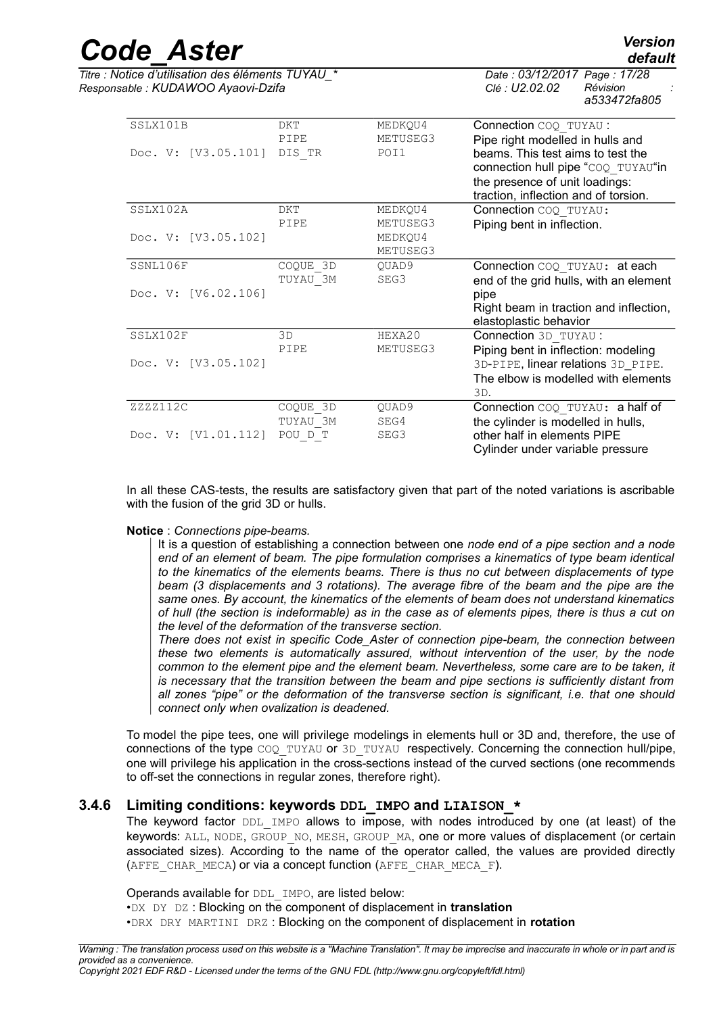*Titre : Notice d'utilisation des éléments TUYAU\_\* Date : 03/12/2017 Page : 17/28 Responsable : KUDAWOO Ayaovi-Dzifa Clé : U2.02.02 Révision :*

*a533472fa805*

| SSLX101B            | <b>DKT</b> | MEDKQU4  | Connection COQ TUYAU :                 |
|---------------------|------------|----------|----------------------------------------|
|                     | PIPE       | METUSEG3 | Pipe right modelled in hulls and       |
| Doc. V: [V3.05.101] | DIS TR     | POI1     | beams. This test aims to test the      |
|                     |            |          | connection hull pipe "COQ TUYAU"in     |
|                     |            |          | the presence of unit loadings:         |
|                     |            |          | traction, inflection and of torsion.   |
| SSLX102A            | DKT        | MEDKQU4  | Connection COQ TUYAU:                  |
|                     | PIPE       | METUSEG3 | Piping bent in inflection.             |
| Doc. V: [V3.05.102] |            | MEDKQU4  |                                        |
|                     |            | METUSEG3 |                                        |
| SSNL106F            | COQUE 3D   | QUAD9    | Connection COQ TUYAU: at each          |
|                     | TUYAU 3M   | SEG3     | end of the grid hulls, with an element |
| Doc. V: [V6.02.106] |            |          | pipe                                   |
|                     |            |          | Right beam in traction and inflection, |
|                     |            |          | elastoplastic behavior                 |
| SSLX102F            | 3D         | HEXA20   | Connection 3D TUYAU :                  |
|                     | PIPE       | METUSEG3 | Piping bent in inflection: modeling    |
| Doc. V: [V3.05.102] |            |          | 3D-PIPE, linear relations 3D_PIPE.     |
|                     |            |          | The elbow is modelled with elements    |
|                     |            |          | 3D.                                    |
| ZZZZ112C            | COQUE 3D   | QUAD9    | Connection COQ TUYAU: a half of        |
|                     | TUYAU 3M   | SEG4     | the cylinder is modelled in hulls,     |
| Doc. V: [V1.01.112] | POU D T    | SEG3     | other half in elements PIPE            |
|                     |            |          | Cylinder under variable pressure       |
|                     |            |          |                                        |

In all these CAS-tests, the results are satisfactory given that part of the noted variations is ascribable with the fusion of the grid 3D or hulls.

#### **Notice** : *Connections pipe-beams.*

It is a question of establishing a connection between one *node end of a pipe section and a node end of an element of beam. The pipe formulation comprises a kinematics of type beam identical to the kinematics of the elements beams. There is thus no cut between displacements of type beam (3 displacements and 3 rotations). The average fibre of the beam and the pipe are the same ones. By account, the kinematics of the elements of beam does not understand kinematics of hull (the section is indeformable) as in the case as of elements pipes, there is thus a cut on the level of the deformation of the transverse section.*

*There does not exist in specific Code\_Aster of connection pipe-beam, the connection between these two elements is automatically assured, without intervention of the user, by the node common to the element pipe and the element beam. Nevertheless, some care are to be taken, it is necessary that the transition between the beam and pipe sections is sufficiently distant from all zones "pipe" or the deformation of the transverse section is significant, i.e. that one should connect only when ovalization is deadened.*

To model the pipe tees, one will privilege modelings in elements hull or 3D and, therefore, the use of connections of the type COQ\_TUYAU or 3D\_TUYAU respectively. Concerning the connection hull/pipe, one will privilege his application in the cross-sections instead of the curved sections (one recommends to off-set the connections in regular zones, therefore right).

#### **3.4.6 Limiting conditions: keywords DDL\_IMPO and LIAISON\_\***

<span id="page-16-0"></span>The keyword factor DDL IMPO allows to impose, with nodes introduced by one (at least) of the keywords: ALL, NODE, GROUP NO, MESH, GROUP MA, one or more values of displacement (or certain associated sizes). According to the name of the operator called, the values are provided directly (AFFE CHAR MECA) or via a concept function (AFFE CHAR MECA F).

Operands available for DDL IMPO, are listed below:

•DX DY DZ : Blocking on the component of displacement in **translation**

•DRX DRY MARTINI DRZ : Blocking on the component of displacement in **rotation**

*default*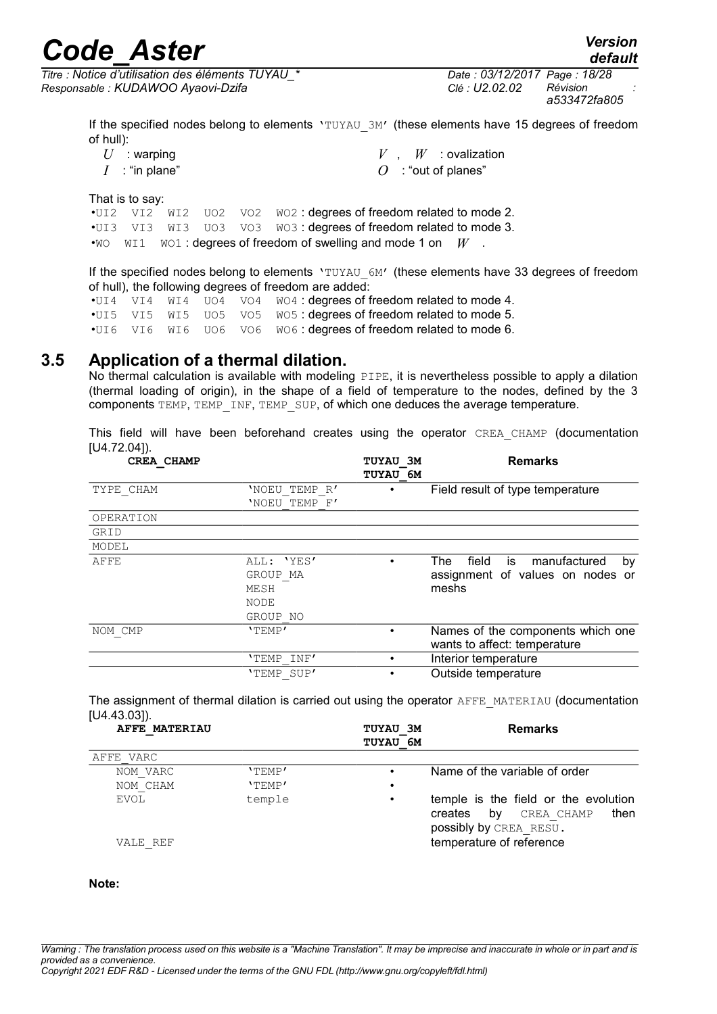*default*

*Titre : Notice d'utilisation des éléments TUYAU\_\* Date : 03/12/2017 Page : 18/28 Responsable : KUDAWOO Ayaovi-Dzifa Clé : U2.02.02 Révision :*

*a533472fa805*

If the specified nodes belong to elements 'TUYAU\_3M' (these elements have 15 degrees of freedom of hull):

| $U$ : warping    |  | $V$ , $W$ : ovalization |
|------------------|--|-------------------------|
| $I$ : "in plane" |  | $O$ : "out of planes"   |

That is to say:

•UI2 VI2 WI2 UO2 VO2 WO2 : degrees of freedom related to mode 2. •UI3 VI3 WI3 UO3 VO3 WO3 : degrees of freedom related to mode 3. •WO WI1 WO1 : degrees of freedom of swelling and mode 1 on *W* 

If the specified nodes belong to elements 'TUYAU 6M' (these elements have 33 degrees of freedom of hull), the following degrees of freedom are added:

•UI4 VI4 WI4 UO4 VO4 WO4 : degrees of freedom related to mode 4. •UI5 VI5 WI5 UO5 VO5 WO5 : degrees of freedom related to mode 5. •UI6 VI6 WI6 UO6 VO6 WO6 : degrees of freedom related to mode 6.

#### **3.5 Application of a thermal dilation.**

<span id="page-17-0"></span>No thermal calculation is available with modeling PIPE, it is nevertheless possible to apply a dilation (thermal loading of origin), in the shape of a field of temperature to the nodes, defined by the 3 components TEMP, TEMP\_INF, TEMP\_SUP, of which one deduces the average temperature.

This field will have been beforehand creates using the operator CREA CHAMP (documentation [U4.72.04]).

| CREA CHAMP |               | TUYAU 3M<br><b>TUYAU 6M</b> | <b>Remarks</b>                                                    |
|------------|---------------|-----------------------------|-------------------------------------------------------------------|
| TYPE CHAM  | 'NOEU TEMP R' |                             | Field result of type temperature                                  |
|            | 'NOEU TEMP F' |                             |                                                                   |
| OPERATION  |               |                             |                                                                   |
| GRID       |               |                             |                                                                   |
| MODEL      |               |                             |                                                                   |
| AFFE       | ALL: 'YES'    |                             | field<br>manufactured<br>The<br>is<br>by                          |
|            | GROUP MA      |                             | assignment of values on nodes or                                  |
|            | MESH          |                             | meshs                                                             |
|            | NODE          |                             |                                                                   |
|            | GROUP NO      |                             |                                                                   |
| NOM CMP    | 'TEMP'        |                             | Names of the components which one<br>wants to affect: temperature |
|            | 'TEMP<br>INF' |                             | Interior temperature                                              |
|            | 'TEMP SUP'    |                             | Outside temperature                                               |

The assignment of thermal dilation is carried out using the operator AFFE\_MATERIAU (documentation [U4.43.03]).

| AFFE MATERIAU |        | TUYAU 3M<br><b>TUYAU 6M</b> | <b>Remarks</b>                                                                                        |
|---------------|--------|-----------------------------|-------------------------------------------------------------------------------------------------------|
| AFFE VARC     |        |                             |                                                                                                       |
| NOM VARC      | 'TEMP' |                             | Name of the variable of order                                                                         |
| NOM CHAM      | 'TEMP' | $\bullet$                   |                                                                                                       |
| EVOL          | temple | $\bullet$                   | temple is the field or the evolution<br>by<br>then<br>CREA CHAMP<br>creates<br>possibly by CREA RESU. |
| VALE REF      |        |                             | temperature of reference                                                                              |

#### **Note:**

*Warning : The translation process used on this website is a "Machine Translation". It may be imprecise and inaccurate in whole or in part and is provided as a convenience.*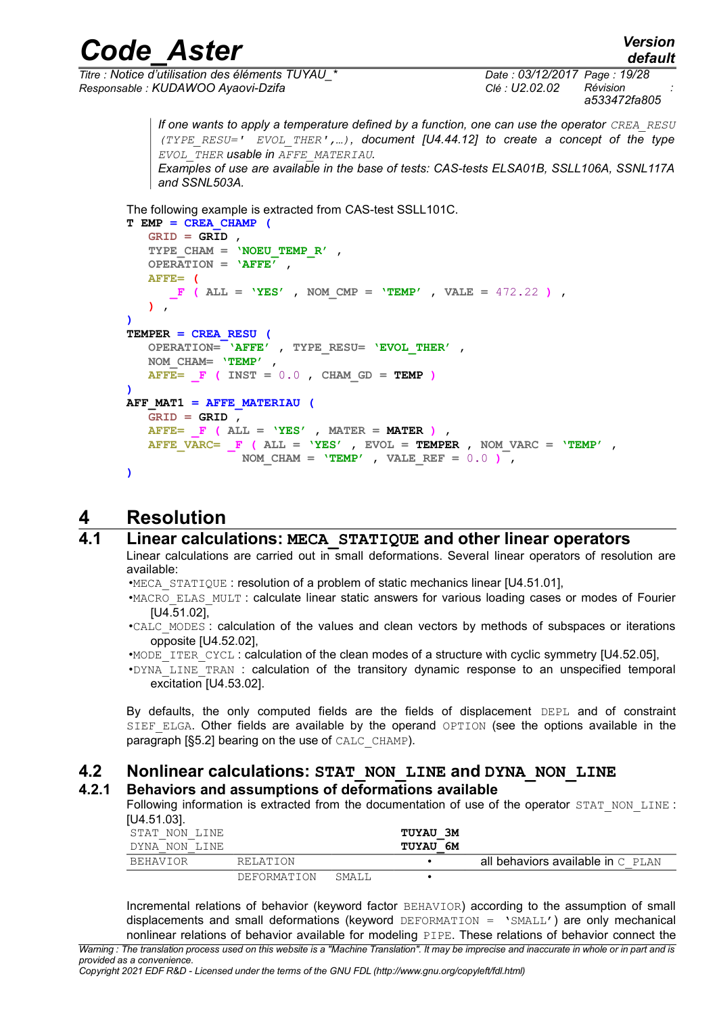*Code\_Aster Version default*

*Titre : Notice d'utilisation des éléments TUYAU\_\* Date : 03/12/2017 Page : 19/28 Responsable : KUDAWOO Ayaovi-Dzifa Clé : U2.02.02 Révision :*

*a533472fa805*

*If one wants to apply a temperature defined by a function, one can use the operator CREA\_RESU (TYPE\_RESU=' EVOL\_THER',…), document [U4.44.12] to create a concept of the type EVOL\_THER usable in AFFE\_MATERIAU. Examples of use are available in the base of tests: CAS-tests ELSA01B, SSLL106A, SSNL117A and SSNL503A.*

The following example is extracted from CAS-test SSLL101C.

```
T EMP = CREA_CHAMP (
    GRID = GRID ,
    TYPE_CHAM = 'NOEU_TEMP_R' ,
    OPERATION = 'AFFE' ,
    AFFE= (
      \mathbf{F} (ALL = 'YES', NOM_CMP = 'TEMP', VALE = 472.22),
    ) ,
)
TEMPER = CREA_RESU (
    OPERATION= 'AFFE' , TYPE_RESU= 'EVOL_THER' ,
    NOM_CHAM= 'TEMP' ,
   \overline{AFFE} = \overline{F} ( INST = 0.0 , CHAM GD = TEMP )
)
AFF_MAT1 = AFFE_MATERIAU (
    GRID = GRID ,
    AFFE= _F ( ALL = 'YES' , MATER = MATER ) ,
   \overline{A}FFE VARC= F (\overline{A}LL = 'YES', EVOL = TEMPER, NOM VARC = 'TEMP',
                  NOM CHAM = 'TEMP', VALE REF = 0.0 ),
)
```
### **4 Resolution**

#### **4.1 Linear calculations: MECA\_STATIQUE and other linear operators**

<span id="page-18-3"></span><span id="page-18-2"></span>Linear calculations are carried out in small deformations. Several linear operators of resolution are available:

•MECA\_STATIQUE : resolution of a problem of static mechanics linear [U4.51.01],

•MACRO\_ELAS\_MULT : calculate linear static answers for various loading cases or modes of Fourier [U4.51.02],

- •CALC\_MODES : calculation of the values and clean vectors by methods of subspaces or iterations opposite [U4.52.02],
- •MODE\_ITER\_CYCL : calculation of the clean modes of a structure with cyclic symmetry [U4.52.05],
- •DYNA\_LINE\_TRAN : calculation of the transitory dynamic response to an unspecified temporal excitation [U4.53.02].

By defaults, the only computed fields are the fields of displacement DEPL and of constraint SIEF ELGA. Other fields are available by the operand OPTION (see the options available in the paragraph [§5.2] bearing on the use of CALC\_CHAMP).

# **4.2 Nonlinear calculations: STAT\_NON\_LINE and DYNA\_NON\_LINE**

#### **4.2.1 Behaviors and assumptions of deformations available**

<span id="page-18-1"></span><span id="page-18-0"></span>Following information is extracted from the documentation of use of the operator STAT\_NON\_LINE : [U4.51.03].

| STAT NON LINE<br>DYNA NON LINE |             |        | <b>TUYAU 3M</b><br><b>TUYAU 6M</b> |                                     |
|--------------------------------|-------------|--------|------------------------------------|-------------------------------------|
| BEHAVIOR                       | RELATION    |        |                                    | all behaviors available in $C$ PLAN |
|                                | DEFORMATION | SMALL. |                                    |                                     |

Incremental relations of behavior (keyword factor BEHAVIOR) according to the assumption of small displacements and small deformations (keyword DEFORMATION = 'SMALL') are only mechanical nonlinear relations of behavior available for modeling PIPE. These relations of behavior connect the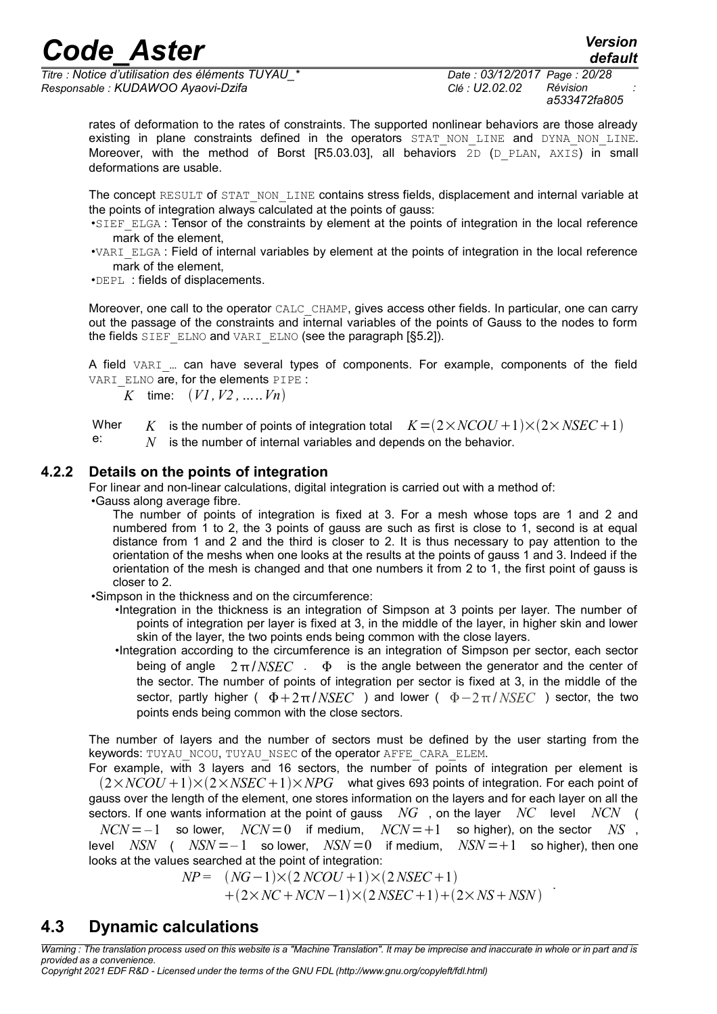*Titre : Notice d'utilisation des éléments TUYAU\_\* Date : 03/12/2017 Page : 20/28 Responsable : KUDAWOO Ayaovi-Dzifa Clé : U2.02.02 Révision :*

*a533472fa805*

*default*

rates of deformation to the rates of constraints. The supported nonlinear behaviors are those already existing in plane constraints defined in the operators STAT NON LINE and DYNA NON LINE. Moreover, with the method of Borst [R5.03.03], all behaviors  $\overline{2}D$  (D\_PLAN, AXIS) in small deformations are usable.

The concept RESULT of STAT\_NON\_LINE contains stress fields, displacement and internal variable at the points of integration always calculated at the points of gauss:

•SIEF ELGA : Tensor of the constraints by element at the points of integration in the local reference mark of the element,

•VARI\_ELGA : Field of internal variables by element at the points of integration in the local reference mark of the element,

•DEPL : fields of displacements.

Moreover, one call to the operator CALC\_CHAMP, gives access other fields. In particular, one can carry out the passage of the constraints and internal variables of the points of Gauss to the nodes to form the fields SIEF ELNO and VARI ELNO (see the paragraph [§5.2]).

A field VARI ... can have several types of components. For example, components of the field VARI ELNO are, for the elements PIPE :

*K* time:  $(V1, V2, \ldots, Vn)$ 

Wher e: *K* is the number of points of integration total  $K = (2 \times NCOU + 1) \times (2 \times NSEC + 1)$ 

*N* is the number of internal variables and depends on the behavior.

#### **4.2.2 Details on the points of integration**

<span id="page-19-1"></span>For linear and non-linear calculations, digital integration is carried out with a method of:

•Gauss along average fibre.

The number of points of integration is fixed at 3. For a mesh whose tops are 1 and 2 and numbered from 1 to 2, the 3 points of gauss are such as first is close to 1, second is at equal distance from 1 and 2 and the third is closer to 2. It is thus necessary to pay attention to the orientation of the meshs when one looks at the results at the points of gauss 1 and 3. Indeed if the orientation of the mesh is changed and that one numbers it from 2 to 1, the first point of gauss is closer to 2.

•Simpson in the thickness and on the circumference:

- •Integration in the thickness is an integration of Simpson at 3 points per layer. The number of points of integration per layer is fixed at 3, in the middle of the layer, in higher skin and lower skin of the layer, the two points ends being common with the close layers.
- •Integration according to the circumference is an integration of Simpson per sector, each sector being of angle  $2\pi/NSEC$  .  $\Phi$  is the angle between the generator and the center of the sector. The number of points of integration per sector is fixed at 3, in the middle of the sector, partly higher (  $\Phi + 2\pi/NSEC$  ) and lower (  $\Phi - 2\pi/NSEC$  ) sector, the two points ends being common with the close sectors.

The number of layers and the number of sectors must be defined by the user starting from the keywords: TUYAU\_NCOU, TUYAU\_NSEC of the operator AFFE\_CARA\_ELEM.

For example, with 3 layers and 16 sectors, the number of points of integration per element is  $(2 \times NCOU + 1) \times (2 \times NSEC + 1) \times NPG$  what gives 693 points of integration. For each point of gauss over the length of the element, one stores information on the layers and for each layer on all the sectors. If one wants information at the point of gauss *NG* , on the layer *NC* level *NCN* (

 $NCN = -1$  so lower,  $NCN = 0$  if medium,  $NCN = +1$  so higher), on the sector *NS*, level *NSN* (  $NSN = -1$  so lower,  $NSN = 0$  if medium,  $NSN = +1$  so higher), then one looks at the values searched at the point of integration:

> $NP = (NG-1) \times (2 NCOU + 1) \times (2 NSEC + 1)$  $+(2 \times NC + NCN - 1) \times (2NSEC + 1) + (2 \times NS + NSN)$

#### <span id="page-19-0"></span>**4.3 Dynamic calculations**

*Warning : The translation process used on this website is a "Machine Translation". It may be imprecise and inaccurate in whole or in part and is provided as a convenience.*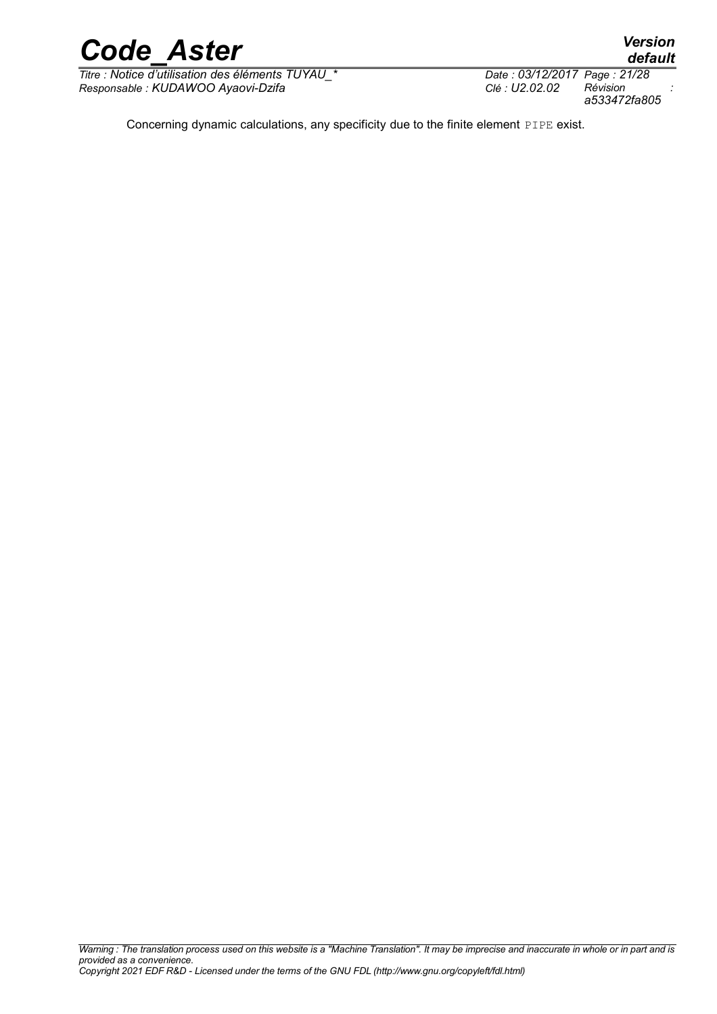

*Titre : Notice d'utilisation des éléments TUYAU\_\* Date : 03/12/2017 Page : 21/28 Responsable : KUDAWOO Ayaovi-Dzifa Clé : U2.02.02 Révision :*

*a533472fa805*

Concerning dynamic calculations, any specificity due to the finite element PIPE exist.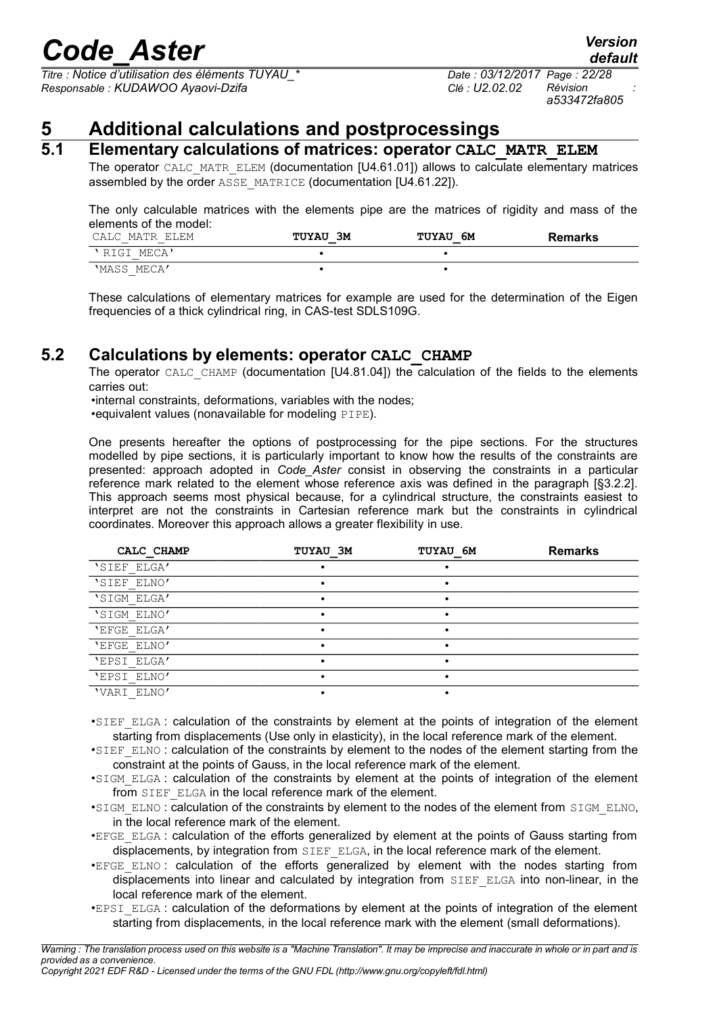*Titre : Notice d'utilisation des éléments TUYAU\_\* Date : 03/12/2017 Page : 22/28 Responsable : KUDAWOO Ayaovi-Dzifa Clé : U2.02.02 Révision :*

*a533472fa805*

*default*

### **5 Additional calculations and postprocessings**

#### **5.1 Elementary calculations of matrices: operator CALC\_MATR\_ELEM**

<span id="page-21-2"></span><span id="page-21-1"></span>The operator CALC\_MATR\_ELEM (documentation [U4.61.01]) allows to calculate elementary matrices assembled by the order ASSE\_MATRICE (documentation [U4.61.22]).

The only calculable matrices with the elements pipe are the matrices of rigidity and mass of the elements of the model:

| CALC MATR ELEM     | ЗМ<br><b>TUYAU</b> | 6М<br><b>TUYAU</b> | Remarks |
|--------------------|--------------------|--------------------|---------|
| 'RIGI MECA'        |                    |                    |         |
| 'MASS MECA'<br>$-$ |                    |                    |         |

These calculations of elementary matrices for example are used for the determination of the Eigen frequencies of a thick cylindrical ring, in CAS-test SDLS109G.

#### **5.2 Calculations by elements: operator CALC\_CHAMP**

<span id="page-21-0"></span>The operator CALC\_CHAMP (documentation [U4.81.04]) the calculation of the fields to the elements carries out:

•internal constraints, deformations, variables with the nodes; •equivalent values (nonavailable for modeling PIPE).

One presents hereafter the options of postprocessing for the pipe sections. For the structures modelled by pipe sections, it is particularly important to know how the results of the constraints are presented: approach adopted in *Code\_Aster* consist in observing the constraints in a particular reference mark related to the element whose reference axis was defined in the paragraph [§3.2.2]. This approach seems most physical because, for a cylindrical structure, the constraints easiest to interpret are not the constraints in Cartesian reference mark but the constraints in cylindrical coordinates. Moreover this approach allows a greater flexibility in use.

| CALC CHAMP  | TUYAU 3M | TUYAU 6M | <b>Remarks</b> |
|-------------|----------|----------|----------------|
| 'SIEF ELGA' |          |          |                |
| 'SIEF ELNO' |          | ٠        |                |
| 'SIGM ELGA' |          |          |                |
| 'SIGM ELNO' |          |          |                |
| 'EFGE ELGA' |          |          |                |
| 'EFGE ELNO' |          |          |                |
| 'EPSI ELGA' |          |          |                |
| 'EPSI ELNO' |          |          |                |
| 'VARI ELNO' |          |          |                |

•SIEF\_ELGA : calculation of the constraints by element at the points of integration of the element starting from displacements (Use only in elasticity), in the local reference mark of the element.

•SIEF ELNO: calculation of the constraints by element to the nodes of the element starting from the constraint at the points of Gauss, in the local reference mark of the element.

•SIGM\_ELGA : calculation of the constraints by element at the points of integration of the element from SIEF ELGA in the local reference mark of the element.

- •SIGM\_ELNO : calculation of the constraints by element to the nodes of the element from SIGM\_ELNO, in the local reference mark of the element.
- •EFGE\_ELGA : calculation of the efforts generalized by element at the points of Gauss starting from displacements, by integration from SIEF ELGA, in the local reference mark of the element.
- •EFGE\_ELNO : calculation of the efforts generalized by element with the nodes starting from displacements into linear and calculated by integration from SIEF\_ELGA into non-linear, in the local reference mark of the element.
- •EPSI\_ELGA : calculation of the deformations by element at the points of integration of the element starting from displacements, in the local reference mark with the element (small deformations).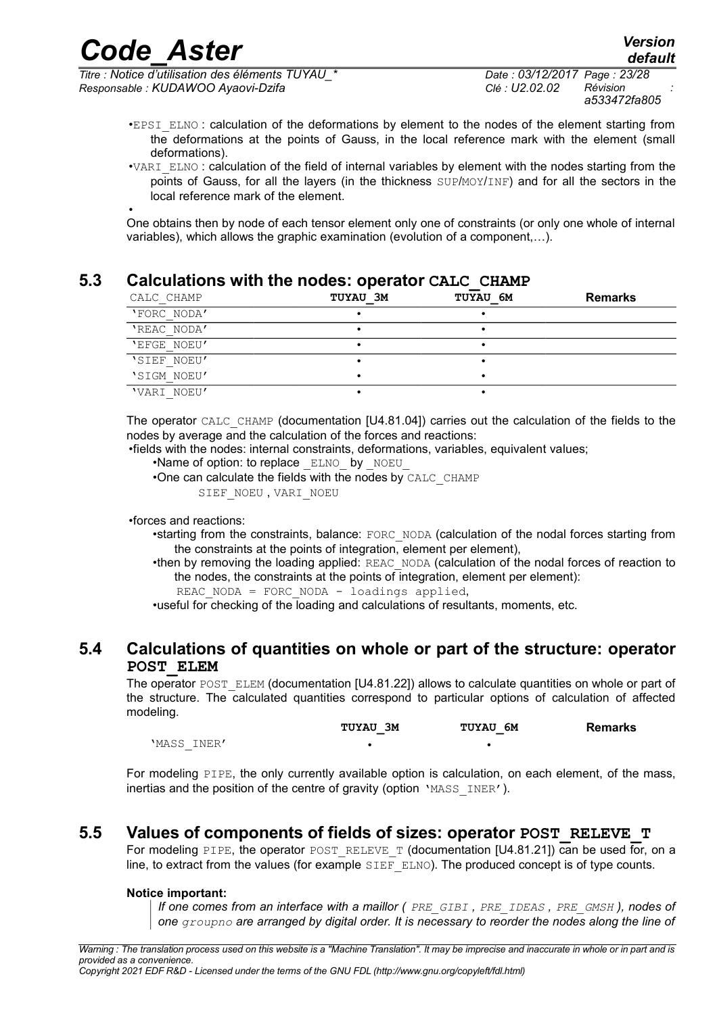*Titre : Notice d'utilisation des éléments TUYAU\_\* Date : 03/12/2017 Page : 23/28 Responsable : KUDAWOO Ayaovi-Dzifa Clé : U2.02.02 Révision :*

- •EPSI ELNO : calculation of the deformations by element to the nodes of the element starting from the deformations at the points of Gauss, in the local reference mark with the element (small deformations).
- •VARI\_ELNO : calculation of the field of internal variables by element with the nodes starting from the points of Gauss, for all the layers (in the thickness SUP/MOY/INF) and for all the sectors in the local reference mark of the element.

• One obtains then by node of each tensor element only one of constraints (or only one whole of internal variables), which allows the graphic examination (evolution of a component,…).

#### **5.3 Calculations with the nodes: operator CALC\_CHAMP**

<span id="page-22-1"></span>

| CALC CHAMP  | <b>TUYAU 3M</b> | TUYAU 6M | <b>Remarks</b> |
|-------------|-----------------|----------|----------------|
| 'FORC NODA' |                 |          |                |
| 'REAC NODA' |                 |          |                |
| 'EFGE NOEU' |                 |          |                |
| 'SIEF NOEU' |                 |          |                |
| 'SIGM NOEU' |                 |          |                |
| 'VARI NOEU' |                 |          |                |

The operator CALC\_CHAMP (documentation [U4.81.04]) carries out the calculation of the fields to the nodes by average and the calculation of the forces and reactions:

•fields with the nodes: internal constraints, deformations, variables, equivalent values;

- •Name of option: to replace ELNO by NOEU
- •One can calculate the fields with the nodes by CALC\_CHAMP

```
SIEF_NOEU, VARI_NOEU
```
•forces and reactions:

- •starting from the constraints, balance: FORC\_NODA (calculation of the nodal forces starting from the constraints at the points of integration, element per element),
- •then by removing the loading applied: REAC\_NODA (calculation of the nodal forces of reaction to the nodes, the constraints at the points of integration, element per element):
	- REAC NODA = FORC NODA loadings applied,

•useful for checking of the loading and calculations of resultants, moments, etc.

#### **5.4 Calculations of quantities on whole or part of the structure: operator POST\_ELEM**

<span id="page-22-0"></span>The operator POST\_ELEM (documentation [U4.81.22]) allows to calculate quantities on whole or part of the structure. The calculated quantities correspond to particular options of calculation of affected modeling.

|             | TUYAU 3M | <b>TUYAU 6M</b> | Remarks |
|-------------|----------|-----------------|---------|
| 'MASS INER' |          |                 |         |

For modeling PIPE, the only currently available option is calculation, on each element, of the mass, inertias and the position of the centre of gravity (option 'MASS INER').

#### **5.5 Values of components of fields of sizes: operator POST\_RELEVE\_T**

<span id="page-22-2"></span>For modeling PIPE, the operator POST\_RELEVE\_T (documentation  $[U4.81.21]$ ) can be used for, on a line, to extract from the values (for example  $\overline{SIEF-ELNO}$ ). The produced concept is of type counts.

#### **Notice important:**

*If one comes from an interface with a maillor ( PRE\_GIBI , PRE\_IDEAS , PRE\_GMSH ), nodes of one groupno are arranged by digital order. It is necessary to reorder the nodes along the line of*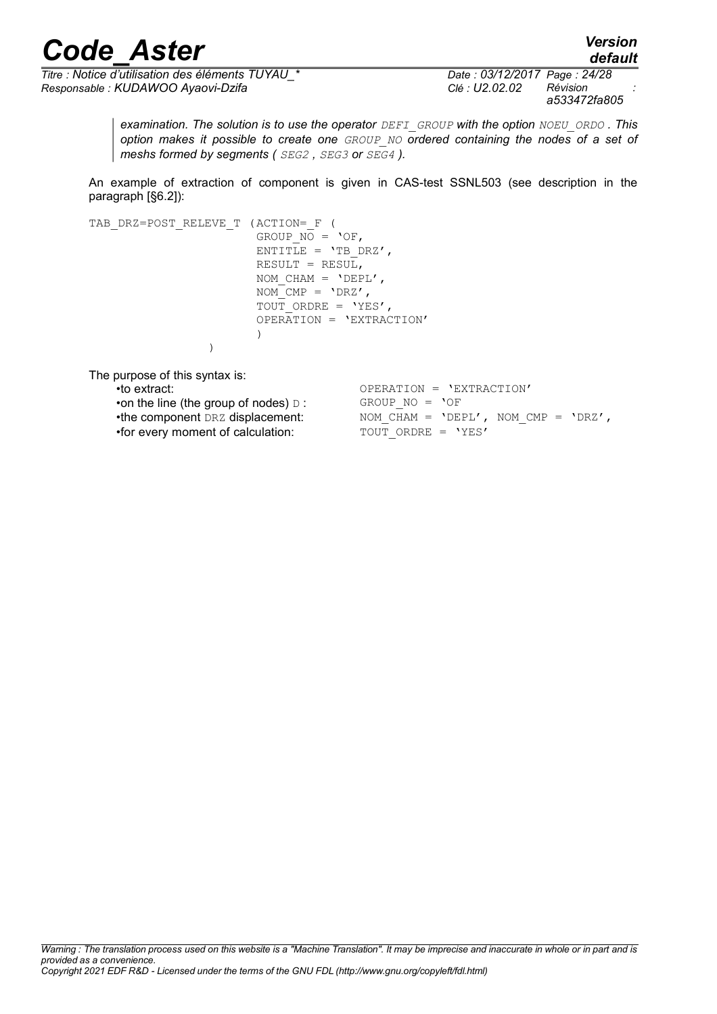*default*

*Titre : Notice d'utilisation des éléments TUYAU\_\* Date : 03/12/2017 Page : 24/28 Responsable : KUDAWOO Ayaovi-Dzifa Clé : U2.02.02 Révision :*

*a533472fa805*

*examination. The solution is to use the operator DEFI\_GROUP with the option NOEU\_ORDO . This option makes it possible to create one GROUP\_NO ordered containing the nodes of a set of meshs formed by segments ( SEG2 , SEG3 or SEG4 ).*

An example of extraction of component is given in CAS-test SSNL503 (see description in the paragraph [§6.2]):

TAB\_DRZ=POST\_RELEVE\_T (ACTION=\_F ( GROUP  $\overline{NO}$  = 'OF, ENTITLE =  $'TB$  DRZ', RESULT = RESUL, NOM CHAM =  $'DEFL',$  $NOM$  CMP =  $'DRZ'$ , TOUT ORDRE = 'YES', OPERATION = 'EXTRACTION' ) ) The purpose of this syntax is: •to extract:  $\overline{OPERATION} = \overline{VEXTRACTION'}$ <br>•on the line (the group of nodes)  $\overline{D}$ :  $\overline{OROUP}$  NO =  $\overline{OOF}$ •on the line (the group of nodes)  $D$  : •the component DRZ displacement:  $\begin{array}{rcl} \n\text{NOM } \subset \text{HAM} = \text{VBEPL}', \text{ NOM } \subset \text{MP} = \text{VERZ}', \n\end{array}$ <br>•for every moment of calculation:  $\begin{array}{rcl} \n\text{TOUT } \text{ORDER} = \text{VES}' \n\end{array}$ 

•for every moment of calculation: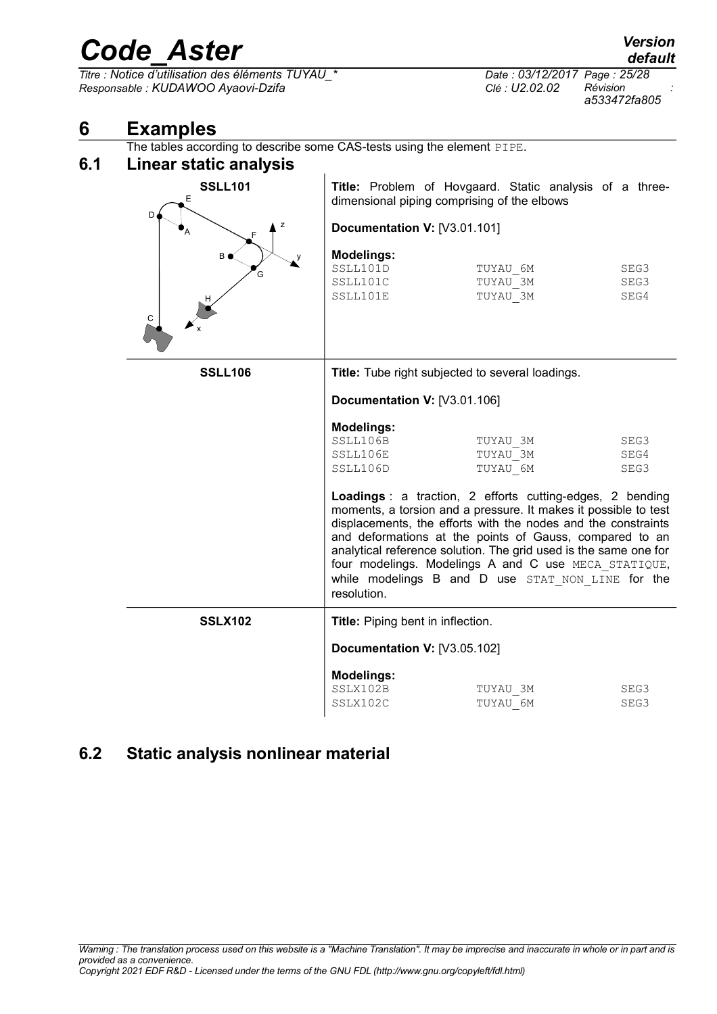<span id="page-24-2"></span><span id="page-24-1"></span>

|     | <b>COUL HOIL</b>                                                                        |                                                       |                                                                                                                                                                                                                                                                                                                                                                                                                                           | default                  |
|-----|-----------------------------------------------------------------------------------------|-------------------------------------------------------|-------------------------------------------------------------------------------------------------------------------------------------------------------------------------------------------------------------------------------------------------------------------------------------------------------------------------------------------------------------------------------------------------------------------------------------------|--------------------------|
|     | Titre : Notice d'utilisation des éléments TUYAU_*<br>Responsable : KUDAWOO Ayaovi-Dzifa |                                                       | Date: 03/12/2017 Page: 25/28<br>Clé : U2.02.02                                                                                                                                                                                                                                                                                                                                                                                            | Révision<br>a533472fa805 |
| 6   | <b>Examples</b>                                                                         |                                                       |                                                                                                                                                                                                                                                                                                                                                                                                                                           |                          |
|     | The tables according to describe some CAS-tests using the element PIPE.                 |                                                       |                                                                                                                                                                                                                                                                                                                                                                                                                                           |                          |
| 6.1 | Linear static analysis                                                                  |                                                       |                                                                                                                                                                                                                                                                                                                                                                                                                                           |                          |
|     | <b>SSLL101</b><br>Е                                                                     |                                                       | Title: Problem of Hovgaard. Static analysis of a three-<br>dimensional piping comprising of the elbows                                                                                                                                                                                                                                                                                                                                    |                          |
|     | D<br>z                                                                                  | Documentation V: [V3.01.101]                          |                                                                                                                                                                                                                                                                                                                                                                                                                                           |                          |
|     | B O<br>Ġ<br>C                                                                           | <b>Modelings:</b><br>SSLL101D<br>SSLL101C<br>SSLL101E | TUYAU 6M<br>TUYAU 3M<br>TUYAU 3M                                                                                                                                                                                                                                                                                                                                                                                                          | SEG3<br>SEG3<br>SEG4     |
|     | <b>SSLL106</b>                                                                          |                                                       | Title: Tube right subjected to several loadings.                                                                                                                                                                                                                                                                                                                                                                                          |                          |
|     |                                                                                         | Documentation V: [V3.01.106]                          |                                                                                                                                                                                                                                                                                                                                                                                                                                           |                          |
|     |                                                                                         | <b>Modelings:</b><br>SSLL106B<br>SSLL106E<br>SSLL106D | TUYAU 3M<br>TUYAU 3M<br>TUYAU 6M                                                                                                                                                                                                                                                                                                                                                                                                          | SEG3<br>SEG4<br>SEG3     |
|     |                                                                                         | resolution.                                           | Loadings : a traction, 2 efforts cutting-edges, 2 bending<br>moments, a torsion and a pressure. It makes it possible to test<br>displacements, the efforts with the nodes and the constraints<br>and deformations at the points of Gauss, compared to an<br>analytical reference solution. The grid used is the same one for<br>four modelings. Modelings A and C use MECA STATIQUE,<br>while modelings B and D use STAT NON LINE for the |                          |
|     | <b>SSLX102</b>                                                                          | Title: Piping bent in inflection.                     |                                                                                                                                                                                                                                                                                                                                                                                                                                           |                          |
|     |                                                                                         | Documentation V: [V3.05.102]                          |                                                                                                                                                                                                                                                                                                                                                                                                                                           |                          |
|     |                                                                                         | <b>Modelings:</b><br>SSLX102B<br>SSLX102C             | TUYAU 3M<br>TUYAU 6M                                                                                                                                                                                                                                                                                                                                                                                                                      | SEG3<br>SEG3             |

### <span id="page-24-0"></span>**6.2 Static analysis nonlinear material**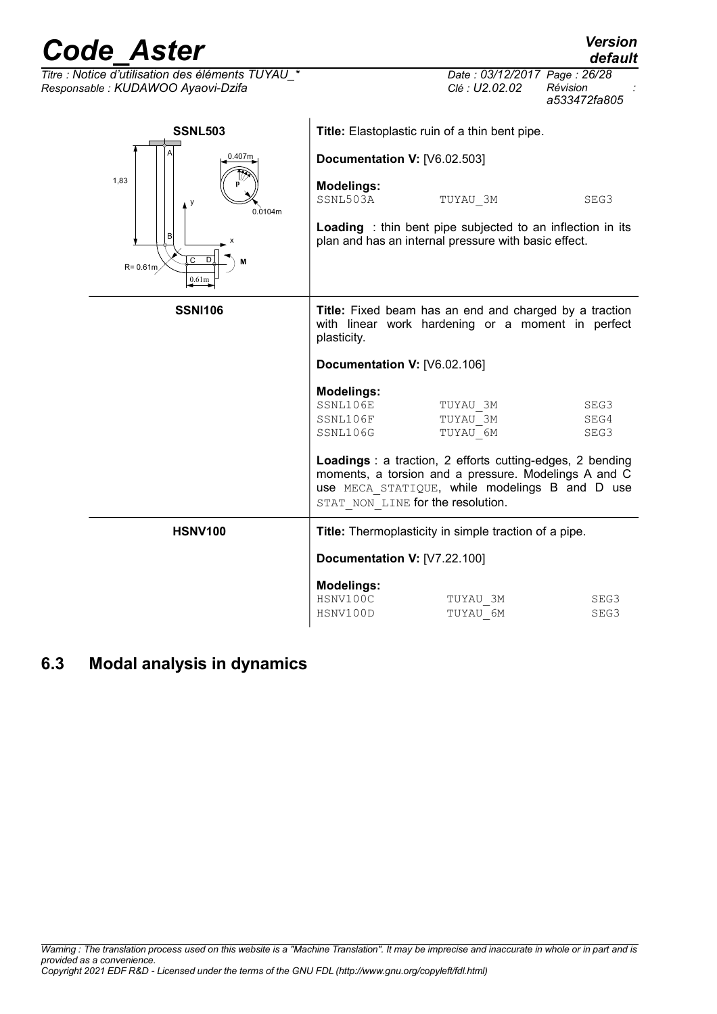| <b>Code Aster</b>                                                                                  |                                                                                                                                                                                                                       | <b>Version</b><br>default |
|----------------------------------------------------------------------------------------------------|-----------------------------------------------------------------------------------------------------------------------------------------------------------------------------------------------------------------------|---------------------------|
| Titre : Notice d'utilisation des éléments TUYAU *<br>Responsable : KUDAWOO Ayaovi-Dzifa            | Date: 03/12/2017 Page: 26/28<br>Clé : U2.02.02                                                                                                                                                                        | Révision<br>a533472fa805  |
| <b>SSNL503</b>                                                                                     | Title: Elastoplastic ruin of a thin bent pipe.                                                                                                                                                                        |                           |
| 0.407m<br>1,83<br>у<br>0.0104m<br>R<br>$\overline{\mathsf{c}}$<br>$R = 0.61m$<br>0.61 <sub>m</sub> | Documentation V: [V6.02.503]<br><b>Modelings:</b><br>SSNL503A<br>TUYAU_3M<br>Loading : thin bent pipe subjected to an inflection in its<br>plan and has an internal pressure with basic effect.                       | SEG3                      |
| <b>SSNI106</b>                                                                                     | <b>Title:</b> Fixed beam has an end and charged by a traction<br>with linear work hardening or a moment in perfect<br>plasticity.                                                                                     |                           |
|                                                                                                    | Documentation V: [V6.02.106]                                                                                                                                                                                          |                           |
|                                                                                                    | <b>Modelings:</b><br>SSNL106E<br>TUYAU 3M<br>SSNL106F<br>TUYAU 3M<br>SSNL106G<br>TUYAU 6M<br><b>Loadings</b> : a traction, 2 efforts cutting-edges, 2 bending<br>moments, a torsion and a pressure. Modelings A and C | SEG3<br>SEG4<br>SEG3      |
|                                                                                                    | USE MECA STATIQUE, while modelings B and D use<br>STAT NON LINE for the resolution.                                                                                                                                   |                           |
| <b>HSNV100</b>                                                                                     | Title: Thermoplasticity in simple traction of a pipe.                                                                                                                                                                 |                           |
|                                                                                                    | <b>Documentation V: [V7.22.100]</b>                                                                                                                                                                                   |                           |
|                                                                                                    | <b>Modelings:</b><br>HSNV100C<br>TUYAU 3M<br>HSNV100D<br>TUYAU 6M                                                                                                                                                     | SEG3<br>SEG3              |

### <span id="page-25-0"></span>**6.3 Modal analysis in dynamics**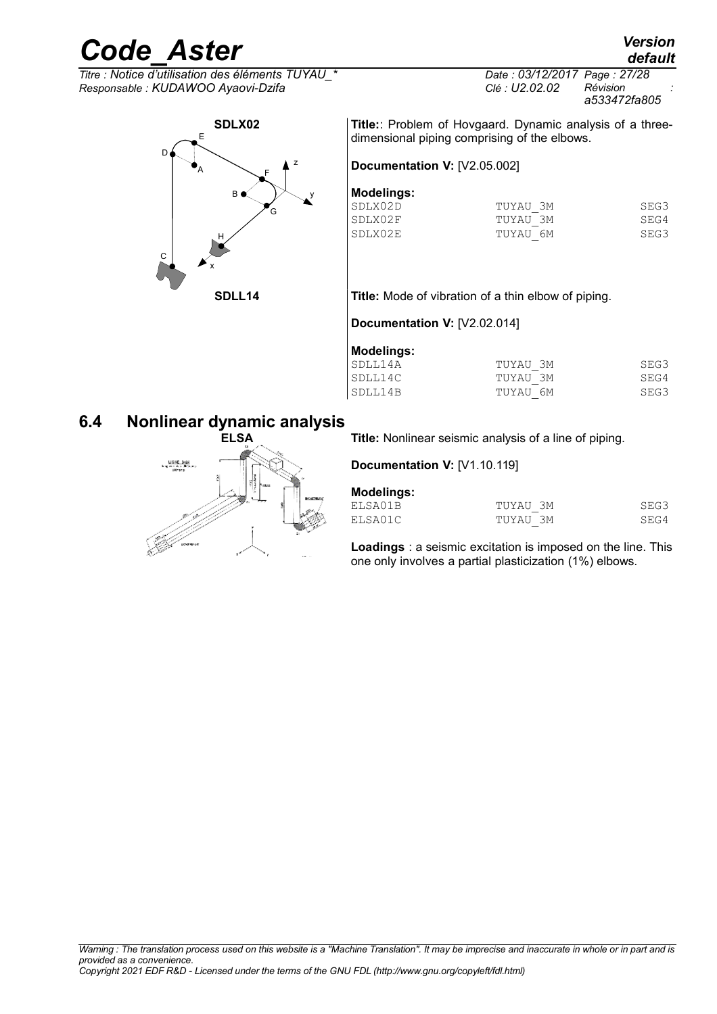### *default*

*Code\_Aster Version*  $\overline{T}$ *Titre : Notice d'utilisation des éléments TUYAU Responsable : KUDAWOO Ayaovi-Dzifa Clé : U2.02.02 Révision :*



*a533472fa805*

**Title:**: Problem of Hovgaard. Dynamic analysis of a threedimensional piping comprising of the elbows.

#### **Documentation V:** [V2.05.002]

#### **Modelings:**

| TUYAU 3M                        | SEG3 |
|---------------------------------|------|
| TUYAU 3M                        | SEG4 |
| TUYAU 6M                        | SEG3 |
| SDLX02D<br>ISDLX02F<br>ISDLX02E |      |

#### **SDLL14 Title:** Mode of vibration of a thin elbow of piping.

**Documentation V:** [V2.02.014]

| <b>Modelings:</b> |          |      |
|-------------------|----------|------|
| SDLL14A           | TUYAU 3M | SEG3 |
| SDLL14C           | TUYAU 3M | SEG4 |
| SDLL14B           | TUYAU 6M | SEG3 |

#### **6.4 Nonlinear dynamic analysis**

<span id="page-26-0"></span>

**ELSA Title:** Nonlinear seismic analysis of a line of piping.

**Documentation V:** [V1.10.119]

| <b>Modelings:</b> |          |      |
|-------------------|----------|------|
| ELSA01B           | TUYAU 3M | SEG3 |
| ELSA01C           | TUYAU 3M | SEG4 |

**Loadings** : a seismic excitation is imposed on the line. This one only involves a partial plasticization (1%) elbows.